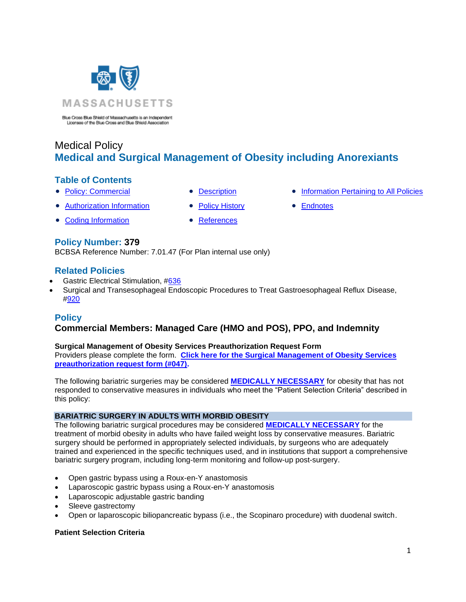

# Medical Policy **Medical and Surgical Management of Obesity including Anorexiants**

# **Table of Contents**

- 
- 
- [Authorization Information](#page-3-0) [Policy History](#page-13-0) [Endnotes](#page-23-0)
- [Coding Information](#page-3-1) [References](#page-14-1)
- 
- [Policy: Commercial](#page-0-0) [Description](#page-5-0) [Information Pertaining to All Policies](#page-14-0)
	-

**Policy Number: 379** BCBSA Reference Number: 7.01.47 (For Plan internal use only)

# **Related Policies**

- **Gastric Electrical Stimulation, [#636](http://www.bluecrossma.org/medical-policies/sites/g/files/csphws2091/files/acquiadam-assets/636%20Gastric%20Electrical%20Stimulation%20prn.pdf#page=1)**
- Surgical and Transesophageal Endoscopic Procedures to Treat Gastroesophageal Reflux Disease, [#920](https://www.bluecrossma.org/medical-policies/sites/g/files/csphws2091/files/acquiadam-assets/920%20Surgical%20and%20Transesophageal%20Endoscopic%20Procedures%20to%20Treat%20Gastroesophageal%20Reflux%20Disease%20prn.pdf)

# **Policy**

# <span id="page-0-0"></span>**Commercial Members: Managed Care (HMO and POS), PPO, and Indemnity**

### **Surgical Management of Obesity Services Preauthorization Request Form**

Providers please complete the form. **[Click here for the Surgical Management of Obesity](http://www.bluecrossma.org/medical-policies/sites/g/files/csphws2091/files/acquiadam-assets/047%20Preauthorization%20Request%20Form%20for%20379%20Surgical%20Management%20of%20Obesity%20Policy%20prn.pdf) Services [preauthorization request form \(#047\).](http://www.bluecrossma.org/medical-policies/sites/g/files/csphws2091/files/acquiadam-assets/047%20Preauthorization%20Request%20Form%20for%20379%20Surgical%20Management%20of%20Obesity%20Policy%20prn.pdf)**

The following bariatric surgeries may be considered **[MEDICALLY NECESSARY](https://www.bluecrossma.org/medical-policies/sites/g/files/csphws2091/files/acquiadam-assets/Definition%20of%20Med%20Nec%20Inv%20Not%20Med%20Nec%20prn.pdf#page=1)** for obesity that has not responded to conservative measures in individuals who meet the "Patient Selection Criteria" described in this policy:

### **BARIATRIC SURGERY IN ADULTS WITH MORBID OBESITY**

The following bariatric surgical procedures may be considered **[MEDICALLY NECESSARY](https://www.bluecrossma.org/medical-policies/sites/g/files/csphws2091/files/acquiadam-assets/Definition%20of%20Med%20Nec%20Inv%20Not%20Med%20Nec%20prn.pdf#page=1)** for the treatment of morbid obesity in adults who have failed weight loss by conservative measures. Bariatric surgery should be performed in appropriately selected individuals, by surgeons who are adequately trained and experienced in the specific techniques used, and in institutions that support a comprehensive bariatric surgery program, including long-term monitoring and follow-up post-surgery.

- Open gastric bypass using a Roux-en-Y anastomosis
- Laparoscopic gastric bypass using a Roux-en-Y anastomosis
- Laparoscopic adjustable gastric banding
- Sleeve gastrectomy
- Open or laparoscopic biliopancreatic bypass (i.e., the Scopinaro procedure) with duodenal switch.

### **Patient Selection Criteria**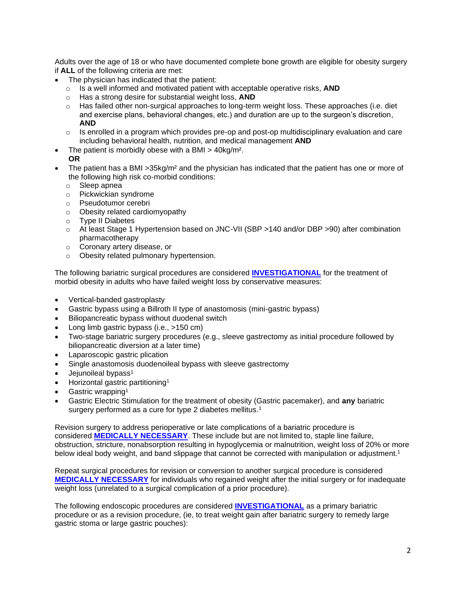Adults over the age of 18 or who have documented complete bone growth are eligible for obesity surgery if **ALL** of the following criteria are met:

- The physician has indicated that the patient:
	- o Is a well informed and motivated patient with acceptable operative risks, **AND**
	- o Has a strong desire for substantial weight loss, **AND**
	- $\circ$  Has failed other non-surgical approaches to long-term weight loss. These approaches (i.e. diet and exercise plans, behavioral changes, etc.) and duration are up to the surgeon's discretion, **AND**
	- $\circ$  Is enrolled in a program which provides pre-op and post-op multidisciplinary evaluation and care including behavioral health, nutrition, and medical management **AND**
- The patient is morbidly obese with a BMI  $>$  40kg/m<sup>2</sup>.
- **OR**
- The patient has a BMI > 35kg/m<sup>2</sup> and the physician has indicated that the patient has one or more of the following high risk co-morbid conditions:
	- o Sleep apnea
	- o Pickwickian syndrome
	- o Pseudotumor cerebri
	- o Obesity related cardiomyopathy
	- o Type II Diabetes
	- o At least Stage 1 Hypertension based on JNC-VII (SBP >140 and/or DBP >90) after combination pharmacotherapy
	- o Coronary artery disease, or
	- o Obesity related pulmonary hypertension.

The following bariatric surgical procedures are considered **[INVESTIGATIONAL](https://www.bluecrossma.org/medical-policies/sites/g/files/csphws2091/files/acquiadam-assets/Definition%20of%20Med%20Nec%20Inv%20Not%20Med%20Nec%20prn.pdf#page=1)** for the treatment of morbid obesity in adults who have failed weight loss by conservative measures:

- Vertical-banded gastroplasty
- Gastric bypass using a Billroth II type of anastomosis (mini-gastric bypass)
- Biliopancreatic bypass without duodenal switch
- Long limb gastric bypass (i.e., >150 cm)
- Two-stage bariatric surgery procedures (e.g., sleeve gastrectomy as initial procedure followed by biliopancreatic diversion at a later time)
- Laparoscopic gastric plication
- Single anastomosis duodenoileal bypass with sleeve gastrectomy
- Jejunoileal bypass<sup>1</sup>
- Horizontal gastric partitioning<sup>1</sup>
- Gastric wrapping<sup>1</sup>
- Gastric Electric Stimulation for the treatment of obesity (Gastric pacemaker), and **any** bariatric surgery performed as a cure for type 2 diabetes mellitus.<sup>1</sup>

Revision surgery to address perioperative or late complications of a bariatric procedure is considered **[MEDICALLY NECESSARY](https://www.bluecrossma.org/medical-policies/sites/g/files/csphws2091/files/acquiadam-assets/Definition%20of%20Med%20Nec%20Inv%20Not%20Med%20Nec%20prn.pdf#page=1)**. These include but are not limited to, staple line failure, obstruction, stricture, nonabsorption resulting in hypoglycemia or malnutrition, weight loss of 20% or more below ideal body weight, and band slippage that cannot be corrected with manipulation or adjustment.<sup>1</sup>

Repeat surgical procedures for revision or conversion to another surgical procedure is considered **[MEDICALLY NECESSARY](https://www.bluecrossma.org/medical-policies/sites/g/files/csphws2091/files/acquiadam-assets/Definition%20of%20Med%20Nec%20Inv%20Not%20Med%20Nec%20prn.pdf#page=1)** for individuals who regained weight after the initial surgery or for inadequate weight loss (unrelated to a surgical complication of a prior procedure).

The following endoscopic procedures are considered **[INVESTIGATIONAL](https://www.bluecrossma.org/medical-policies/sites/g/files/csphws2091/files/acquiadam-assets/Definition%20of%20Med%20Nec%20Inv%20Not%20Med%20Nec%20prn.pdf#page=1)** as a primary bariatric procedure or as a revision procedure, (ie, to treat weight gain after bariatric surgery to remedy large gastric stoma or large gastric pouches):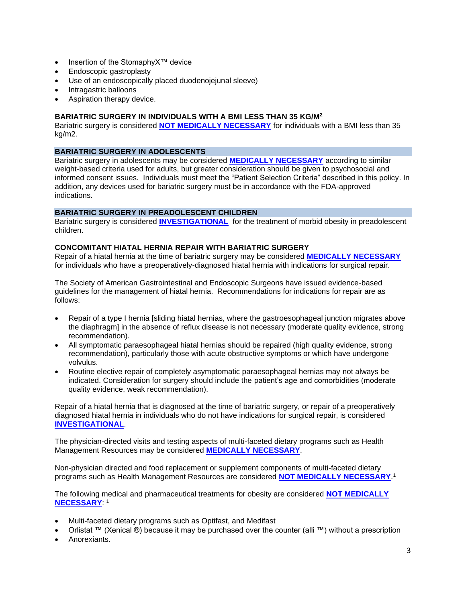- Insertion of the StomaphyX™ device
- Endoscopic gastroplasty
- Use of an endoscopically placed duodenojejunal sleeve)
- Intragastric balloons
- Aspiration therapy device.

#### **BARIATRIC SURGERY IN INDIVIDUALS WITH A BMI LESS THAN 35 KG/M<sup>2</sup>**

Bariatric surgery is considered **[NOT MEDICALLY NECESSARY](https://www.bluecrossma.org/medical-policies/sites/g/files/csphws2091/files/acquiadam-assets/Definition%20of%20Med%20Nec%20Inv%20Not%20Med%20Nec%20prn.pdf#page=1)** for individuals with a BMI less than 35 kg/m2.

#### **BARIATRIC SURGERY IN ADOLESCENTS**

Bariatric surgery in adolescents may be considered **[MEDICALLY NECESSARY](https://www.bluecrossma.org/medical-policies/sites/g/files/csphws2091/files/acquiadam-assets/Definition%20of%20Med%20Nec%20Inv%20Not%20Med%20Nec%20prn.pdf#page=1)** according to similar weight-based criteria used for adults, but greater consideration should be given to psychosocial and informed consent issues. Individuals must meet the "Patient Selection Criteria" described in this policy. In addition, any devices used for bariatric surgery must be in accordance with the FDA-approved indications.

#### **BARIATRIC SURGERY IN PREADOLESCENT CHILDREN**

Bariatric surgery is considered **[INVESTIGATIONAL](https://www.bluecrossma.org/medical-policies/sites/g/files/csphws2091/files/acquiadam-assets/Definition%20of%20Med%20Nec%20Inv%20Not%20Med%20Nec%20prn.pdf#page=1)** for the treatment of morbid obesity in preadolescent children.

#### **CONCOMITANT HIATAL HERNIA REPAIR WITH BARIATRIC SURGERY**

Repair of a hiatal hernia at the time of bariatric surgery may be considered **[MEDICALLY NECESSARY](https://www.bluecrossma.org/medical-policies/sites/g/files/csphws2091/files/acquiadam-assets/Definition%20of%20Med%20Nec%20Inv%20Not%20Med%20Nec%20prn.pdf#page=1)** for individuals who have a preoperatively-diagnosed hiatal hernia with indications for surgical repair.

The Society of American Gastrointestinal and Endoscopic Surgeons have issued evidence-based guidelines for the management of hiatal hernia. Recommendations for indications for repair are as follows:

- Repair of a type I hernia [sliding hiatal hernias, where the gastroesophageal junction migrates above the diaphragm] in the absence of reflux disease is not necessary (moderate quality evidence, strong recommendation).
- All symptomatic paraesophageal hiatal hernias should be repaired (high quality evidence, strong recommendation), particularly those with acute obstructive symptoms or which have undergone volvulus.
- Routine elective repair of completely asymptomatic paraesophageal hernias may not always be indicated. Consideration for surgery should include the patient's age and comorbidities (moderate quality evidence, weak recommendation).

Repair of a hiatal hernia that is diagnosed at the time of bariatric surgery, or repair of a preoperatively diagnosed hiatal hernia in individuals who do not have indications for surgical repair, is considered **[INVESTIGATIONAL](https://www.bluecrossma.org/medical-policies/sites/g/files/csphws2091/files/acquiadam-assets/Definition%20of%20Med%20Nec%20Inv%20Not%20Med%20Nec%20prn.pdf#page=1)**.

The physician-directed visits and testing aspects of multi-faceted dietary programs such as Health Management Resources may be considered **[MEDICALLY NECESSARY](https://www.bluecrossma.org/medical-policies/sites/g/files/csphws2091/files/acquiadam-assets/Definition%20of%20Med%20Nec%20Inv%20Not%20Med%20Nec%20prn.pdf#page=1)**.

Non-physician directed and food replacement or supplement components of multi-faceted dietary programs such as Health Management Resources are considered **[NOT MEDICALLY NECESSARY](https://www.bluecrossma.org/medical-policies/sites/g/files/csphws2091/files/acquiadam-assets/Definition%20of%20Med%20Nec%20Inv%20Not%20Med%20Nec%20prn.pdf#page=1)**. 1

The following medical and pharmaceutical treatments for obesity are considered **[NOT MEDICALLY](https://www.bluecrossma.org/medical-policies/sites/g/files/csphws2091/files/acquiadam-assets/Definition%20of%20Med%20Nec%20Inv%20Not%20Med%20Nec%20prn.pdf#page=1)  [NECESSARY](https://www.bluecrossma.org/medical-policies/sites/g/files/csphws2091/files/acquiadam-assets/Definition%20of%20Med%20Nec%20Inv%20Not%20Med%20Nec%20prn.pdf#page=1)**: 1

- Multi-faceted dietary programs such as Optifast, and Medifast
- Orlistat ™ (Xenical ®) because it may be purchased over the counter (alli ™) without a prescription
- Anorexiants.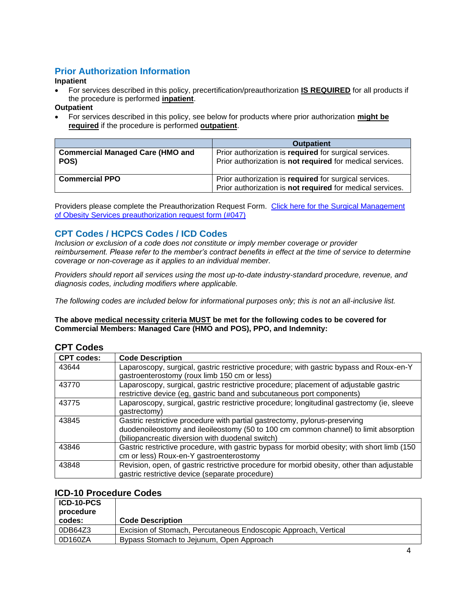# <span id="page-3-0"></span>**Prior Authorization Information**

### **Inpatient**

• For services described in this policy, precertification/preauthorization **IS REQUIRED** for all products if the procedure is performed **inpatient**.

### **Outpatient**

• For services described in this policy, see below for products where prior authorization **might be required** if the procedure is performed **outpatient**.

|                                                 | <b>Outpatient</b>                                                                                                   |
|-------------------------------------------------|---------------------------------------------------------------------------------------------------------------------|
| <b>Commercial Managed Care (HMO and</b><br>POS) | Prior authorization is required for surgical services.<br>Prior authorization is not required for medical services. |
| <b>Commercial PPO</b>                           | Prior authorization is required for surgical services.<br>Prior authorization is not required for medical services. |

Providers please complete the Preauthorization Request Form. [Click here for the Surgical Management](http://www.bluecrossma.org/medical-policies/sites/g/files/csphws2091/files/acquiadam-assets/047%20Preauthorization%20Request%20Form%20for%20379%20Surgical%20Management%20of%20Obesity%20Policy%20prn.pdf)  of Obesity [Services preauthorization request form \(#047\)](http://www.bluecrossma.org/medical-policies/sites/g/files/csphws2091/files/acquiadam-assets/047%20Preauthorization%20Request%20Form%20for%20379%20Surgical%20Management%20of%20Obesity%20Policy%20prn.pdf)

# <span id="page-3-1"></span>**CPT Codes / HCPCS Codes / ICD Codes**

*Inclusion or exclusion of a code does not constitute or imply member coverage or provider reimbursement. Please refer to the member's contract benefits in effect at the time of service to determine coverage or non-coverage as it applies to an individual member.*

*Providers should report all services using the most up-to-date industry-standard procedure, revenue, and diagnosis codes, including modifiers where applicable.*

*The following codes are included below for informational purposes only; this is not an all-inclusive list.*

### **The above medical necessity criteria MUST be met for the following codes to be covered for Commercial Members: Managed Care (HMO and POS), PPO, and Indemnity:**

### **CPT Codes**

| <b>CPT codes:</b> | <b>Code Description</b>                                                                                                                                                                                                |
|-------------------|------------------------------------------------------------------------------------------------------------------------------------------------------------------------------------------------------------------------|
| 43644             | Laparoscopy, surgical, gastric restrictive procedure; with gastric bypass and Roux-en-Y<br>gastroenterostomy (roux limb 150 cm or less)                                                                                |
| 43770             | Laparoscopy, surgical, gastric restrictive procedure; placement of adjustable gastric<br>restrictive device (eg, gastric band and subcutaneous port components)                                                        |
| 43775             | Laparoscopy, surgical, gastric restrictive procedure; longitudinal gastrectomy (ie, sleeve<br>qastrectomy)                                                                                                             |
| 43845             | Gastric restrictive procedure with partial gastrectomy, pylorus-preserving<br>duodenoileostomy and ileoileostomy (50 to 100 cm common channel) to limit absorption<br>(biliopancreatic diversion with duodenal switch) |
| 43846             | Gastric restrictive procedure, with gastric bypass for morbid obesity; with short limb (150<br>cm or less) Roux-en-Y gastroenterostomy                                                                                 |
| 43848             | Revision, open, of gastric restrictive procedure for morbid obesity, other than adjustable<br>gastric restrictive device (separate procedure)                                                                          |

### **ICD-10 Procedure Codes**

| ICD-10-PCS<br>procedure |                                                                 |
|-------------------------|-----------------------------------------------------------------|
| codes:                  | <b>Code Description</b>                                         |
| 0DB64Z3                 | Excision of Stomach, Percutaneous Endoscopic Approach, Vertical |
| 0D160ZA                 | Bypass Stomach to Jejunum, Open Approach                        |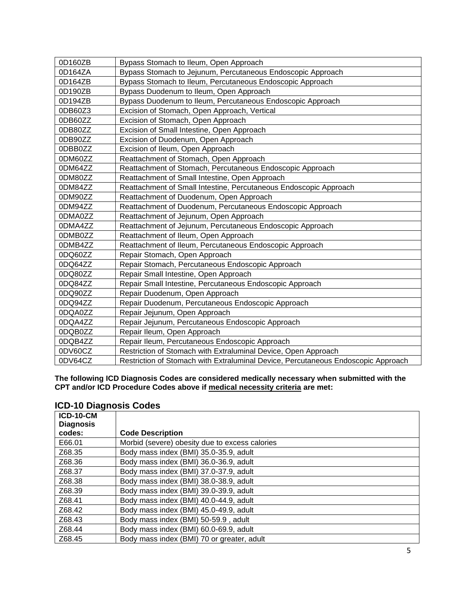| 0D160ZB | Bypass Stomach to Ileum, Open Approach                                            |
|---------|-----------------------------------------------------------------------------------|
| 0D164ZA | Bypass Stomach to Jejunum, Percutaneous Endoscopic Approach                       |
| 0D164ZB | Bypass Stomach to Ileum, Percutaneous Endoscopic Approach                         |
| 0D190ZB | Bypass Duodenum to Ileum, Open Approach                                           |
| 0D194ZB | Bypass Duodenum to Ileum, Percutaneous Endoscopic Approach                        |
| 0DB60Z3 | Excision of Stomach, Open Approach, Vertical                                      |
| 0DB60ZZ | Excision of Stomach, Open Approach                                                |
| 0DB80ZZ | Excision of Small Intestine, Open Approach                                        |
| 0DB90ZZ | Excision of Duodenum, Open Approach                                               |
| 0DBB0ZZ | Excision of Ileum, Open Approach                                                  |
| 0DM60ZZ | Reattachment of Stomach, Open Approach                                            |
| 0DM64ZZ | Reattachment of Stomach, Percutaneous Endoscopic Approach                         |
| 0DM80ZZ | Reattachment of Small Intestine, Open Approach                                    |
| 0DM84ZZ | Reattachment of Small Intestine, Percutaneous Endoscopic Approach                 |
| 0DM90ZZ | Reattachment of Duodenum, Open Approach                                           |
| 0DM94ZZ | Reattachment of Duodenum, Percutaneous Endoscopic Approach                        |
| 0DMA0ZZ | Reattachment of Jejunum, Open Approach                                            |
| 0DMA4ZZ | Reattachment of Jejunum, Percutaneous Endoscopic Approach                         |
| 0DMB0ZZ | Reattachment of Ileum, Open Approach                                              |
| 0DMB4ZZ | Reattachment of Ileum, Percutaneous Endoscopic Approach                           |
| 0DQ60ZZ | Repair Stomach, Open Approach                                                     |
| 0DQ64ZZ | Repair Stomach, Percutaneous Endoscopic Approach                                  |
| 0DQ80ZZ | Repair Small Intestine, Open Approach                                             |
| 0DQ84ZZ | Repair Small Intestine, Percutaneous Endoscopic Approach                          |
| 0DQ90ZZ | Repair Duodenum, Open Approach                                                    |
| 0DQ94ZZ | Repair Duodenum, Percutaneous Endoscopic Approach                                 |
| 0DQA0ZZ | Repair Jejunum, Open Approach                                                     |
| 0DQA4ZZ | Repair Jejunum, Percutaneous Endoscopic Approach                                  |
| 0DQB0ZZ | Repair Ileum, Open Approach                                                       |
| 0DQB4ZZ | Repair Ileum, Percutaneous Endoscopic Approach                                    |
| 0DV60CZ | Restriction of Stomach with Extraluminal Device, Open Approach                    |
| 0DV64CZ | Restriction of Stomach with Extraluminal Device, Percutaneous Endoscopic Approach |

**The following ICD Diagnosis Codes are considered medically necessary when submitted with the CPT and/or ICD Procedure Codes above if medical necessity criteria are met:**

## **ICD-10 Diagnosis Codes**

| <b>ICD-10-CM</b> |                                                |
|------------------|------------------------------------------------|
| <b>Diagnosis</b> |                                                |
| codes:           | <b>Code Description</b>                        |
| E66.01           | Morbid (severe) obesity due to excess calories |
| Z68.35           | Body mass index (BMI) 35.0-35.9, adult         |
| Z68.36           | Body mass index (BMI) 36.0-36.9, adult         |
| Z68.37           | Body mass index (BMI) 37.0-37.9, adult         |
| Z68.38           | Body mass index (BMI) 38.0-38.9, adult         |
| Z68.39           | Body mass index (BMI) 39.0-39.9, adult         |
| Z68.41           | Body mass index (BMI) 40.0-44.9, adult         |
| Z68.42           | Body mass index (BMI) 45.0-49.9, adult         |
| Z68.43           | Body mass index (BMI) 50-59.9, adult           |
| Z68.44           | Body mass index (BMI) 60.0-69.9, adult         |
| Z68.45           | Body mass index (BMI) 70 or greater, adult     |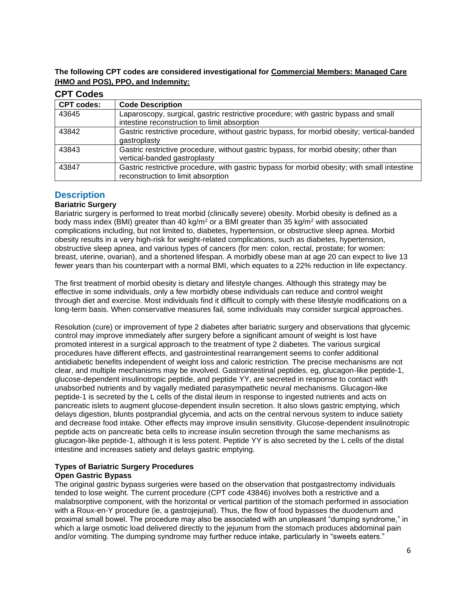### **The following CPT codes are considered investigational for Commercial Members: Managed Care (HMO and POS), PPO, and Indemnity:**

| <b>CPT Codes</b>  |                                                                                                                                     |
|-------------------|-------------------------------------------------------------------------------------------------------------------------------------|
| <b>CPT codes:</b> | <b>Code Description</b>                                                                                                             |
| 43645             | Laparoscopy, surgical, gastric restrictive procedure; with gastric bypass and small<br>intestine reconstruction to limit absorption |
| 43842             | Gastric restrictive procedure, without gastric bypass, for morbid obesity; vertical-banded<br>gastroplasty                          |
| 43843             | Gastric restrictive procedure, without gastric bypass, for morbid obesity; other than<br>vertical-banded gastroplasty               |
| 43847             | Gastric restrictive procedure, with gastric bypass for morbid obesity; with small intestine<br>reconstruction to limit absorption   |

# <span id="page-5-0"></span>**Description**

### **Bariatric Surgery**

Bariatric surgery is performed to treat morbid (clinically severe) obesity. Morbid obesity is defined as a body mass index (BMI) greater than 40 kg/m<sup>2</sup> or a BMI greater than 35 kg/m<sup>2</sup> with associated complications including, but not limited to, diabetes, hypertension, or obstructive sleep apnea. Morbid obesity results in a very high-risk for weight-related complications, such as diabetes, hypertension, obstructive sleep apnea, and various types of cancers (for men: colon, rectal, prostate; for women: breast, uterine, ovarian), and a shortened lifespan. A morbidly obese man at age 20 can expect to live 13 fewer years than his counterpart with a normal BMI, which equates to a 22% reduction in life expectancy.

The first treatment of morbid obesity is dietary and lifestyle changes. Although this strategy may be effective in some individuals, only a few morbidly obese individuals can reduce and control weight through diet and exercise. Most individuals find it difficult to comply with these lifestyle modifications on a long-term basis. When conservative measures fail, some individuals may consider surgical approaches.

Resolution (cure) or improvement of type 2 diabetes after bariatric surgery and observations that glycemic control may improve immediately after surgery before a significant amount of weight is lost have promoted interest in a surgical approach to the treatment of type 2 diabetes. The various surgical procedures have different effects, and gastrointestinal rearrangement seems to confer additional antidiabetic benefits independent of weight loss and caloric restriction. The precise mechanisms are not clear, and multiple mechanisms may be involved. Gastrointestinal peptides, eg, glucagon-like peptide-1, glucose-dependent insulinotropic peptide, and peptide YY, are secreted in response to contact with unabsorbed nutrients and by vagally mediated parasympathetic neural mechanisms. Glucagon-like peptide-1 is secreted by the L cells of the distal ileum in response to ingested nutrients and acts on pancreatic islets to augment glucose-dependent insulin secretion. It also slows gastric emptying, which delays digestion, blunts postprandial glycemia, and acts on the central nervous system to induce satiety and decrease food intake. Other effects may improve insulin sensitivity. Glucose-dependent insulinotropic peptide acts on pancreatic beta cells to increase insulin secretion through the same mechanisms as glucagon-like peptide-1, although it is less potent. Peptide YY is also secreted by the L cells of the distal intestine and increases satiety and delays gastric emptying.

# **Types of Bariatric Surgery Procedures**

### **Open Gastric Bypass**

The original gastric bypass surgeries were based on the observation that postgastrectomy individuals tended to lose weight. The current procedure (CPT code 43846) involves both a restrictive and a malabsorptive component, with the horizontal or vertical partition of the stomach performed in association with a Roux-en-Y procedure (ie, a gastrojejunal). Thus, the flow of food bypasses the duodenum and proximal small bowel. The procedure may also be associated with an unpleasant "dumping syndrome," in which a large osmotic load delivered directly to the jejunum from the stomach produces abdominal pain and/or vomiting. The dumping syndrome may further reduce intake, particularly in "sweets eaters."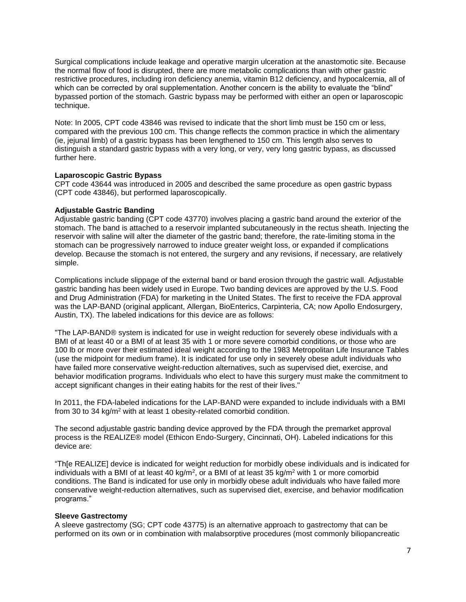Surgical complications include leakage and operative margin ulceration at the anastomotic site. Because the normal flow of food is disrupted, there are more metabolic complications than with other gastric restrictive procedures, including iron deficiency anemia, vitamin B12 deficiency, and hypocalcemia, all of which can be corrected by oral supplementation. Another concern is the ability to evaluate the "blind" bypassed portion of the stomach. Gastric bypass may be performed with either an open or laparoscopic technique.

Note: In 2005, CPT code 43846 was revised to indicate that the short limb must be 150 cm or less, compared with the previous 100 cm. This change reflects the common practice in which the alimentary (ie, jejunal limb) of a gastric bypass has been lengthened to 150 cm. This length also serves to distinguish a standard gastric bypass with a very long, or very, very long gastric bypass, as discussed further here.

#### **Laparoscopic Gastric Bypass**

CPT code 43644 was introduced in 2005 and described the same procedure as open gastric bypass (CPT code 43846), but performed laparoscopically.

#### **Adjustable Gastric Banding**

Adjustable gastric banding (CPT code 43770) involves placing a gastric band around the exterior of the stomach. The band is attached to a reservoir implanted subcutaneously in the rectus sheath. Injecting the reservoir with saline will alter the diameter of the gastric band; therefore, the rate-limiting stoma in the stomach can be progressively narrowed to induce greater weight loss, or expanded if complications develop. Because the stomach is not entered, the surgery and any revisions, if necessary, are relatively simple.

Complications include slippage of the external band or band erosion through the gastric wall. Adjustable gastric banding has been widely used in Europe. Two banding devices are approved by the U.S. Food and Drug Administration (FDA) for marketing in the United States. The first to receive the FDA approval was the LAP-BAND (original applicant, Allergan, BioEnterics, Carpinteria, CA; now Apollo Endosurgery, Austin, TX). The labeled indications for this device are as follows:

"The LAP-BAND® system is indicated for use in weight reduction for severely obese individuals with a BMI of at least 40 or a BMI of at least 35 with 1 or more severe comorbid conditions, or those who are 100 lb or more over their estimated ideal weight according to the 1983 Metropolitan Life Insurance Tables (use the midpoint for medium frame). It is indicated for use only in severely obese adult individuals who have failed more conservative weight-reduction alternatives, such as supervised diet, exercise, and behavior modification programs. Individuals who elect to have this surgery must make the commitment to accept significant changes in their eating habits for the rest of their lives."

In 2011, the FDA-labeled indications for the LAP-BAND were expanded to include individuals with a BMI from 30 to 34 kg/m<sup>2</sup> with at least 1 obesity-related comorbid condition.

The second adjustable gastric banding device approved by the FDA through the premarket approval process is the REALIZE® model (Ethicon Endo-Surgery, Cincinnati, OH). Labeled indications for this device are:

"Th[e REALIZE] device is indicated for weight reduction for morbidly obese individuals and is indicated for individuals with a BMI of at least 40 kg/m<sup>2</sup>, or a BMI of at least 35 kg/m<sup>2</sup> with 1 or more comorbid conditions. The Band is indicated for use only in morbidly obese adult individuals who have failed more conservative weight-reduction alternatives, such as supervised diet, exercise, and behavior modification programs."

#### **Sleeve Gastrectomy**

A sleeve gastrectomy (SG; CPT code 43775) is an alternative approach to gastrectomy that can be performed on its own or in combination with malabsorptive procedures (most commonly biliopancreatic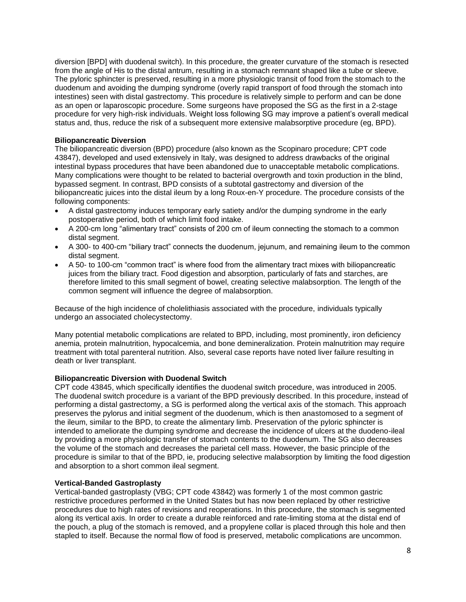diversion [BPD] with duodenal switch). In this procedure, the greater curvature of the stomach is resected from the angle of His to the distal antrum, resulting in a stomach remnant shaped like a tube or sleeve. The pyloric sphincter is preserved, resulting in a more physiologic transit of food from the stomach to the duodenum and avoiding the dumping syndrome (overly rapid transport of food through the stomach into intestines) seen with distal gastrectomy. This procedure is relatively simple to perform and can be done as an open or laparoscopic procedure. Some surgeons have proposed the SG as the first in a 2-stage procedure for very high-risk individuals. Weight loss following SG may improve a patient's overall medical status and, thus, reduce the risk of a subsequent more extensive malabsorptive procedure (eg, BPD).

#### **Biliopancreatic Diversion**

The biliopancreatic diversion (BPD) procedure (also known as the Scopinaro procedure; CPT code 43847), developed and used extensively in Italy, was designed to address drawbacks of the original intestinal bypass procedures that have been abandoned due to unacceptable metabolic complications. Many complications were thought to be related to bacterial overgrowth and toxin production in the blind, bypassed segment. In contrast, BPD consists of a subtotal gastrectomy and diversion of the biliopancreatic juices into the distal ileum by a long Roux-en-Y procedure. The procedure consists of the following components:

- A distal gastrectomy induces temporary early satiety and/or the dumping syndrome in the early postoperative period, both of which limit food intake.
- A 200-cm long "alimentary tract" consists of 200 cm of ileum connecting the stomach to a common distal segment.
- A 300- to 400-cm "biliary tract" connects the duodenum, jejunum, and remaining ileum to the common distal segment.
- A 50- to 100-cm "common tract" is where food from the alimentary tract mixes with biliopancreatic juices from the biliary tract. Food digestion and absorption, particularly of fats and starches, are therefore limited to this small segment of bowel, creating selective malabsorption. The length of the common segment will influence the degree of malabsorption.

Because of the high incidence of cholelithiasis associated with the procedure, individuals typically undergo an associated cholecystectomy.

Many potential metabolic complications are related to BPD, including, most prominently, iron deficiency anemia, protein malnutrition, hypocalcemia, and bone demineralization. Protein malnutrition may require treatment with total parenteral nutrition. Also, several case reports have noted liver failure resulting in death or liver transplant.

#### **Biliopancreatic Diversion with Duodenal Switch**

CPT code 43845, which specifically identifies the duodenal switch procedure, was introduced in 2005. The duodenal switch procedure is a variant of the BPD previously described. In this procedure, instead of performing a distal gastrectomy, a SG is performed along the vertical axis of the stomach. This approach preserves the pylorus and initial segment of the duodenum, which is then anastomosed to a segment of the ileum, similar to the BPD, to create the alimentary limb. Preservation of the pyloric sphincter is intended to ameliorate the dumping syndrome and decrease the incidence of ulcers at the duodeno-ileal by providing a more physiologic transfer of stomach contents to the duodenum. The SG also decreases the volume of the stomach and decreases the parietal cell mass. However, the basic principle of the procedure is similar to that of the BPD, ie, producing selective malabsorption by limiting the food digestion and absorption to a short common ileal segment.

#### **Vertical-Banded Gastroplasty**

Vertical-banded gastroplasty (VBG; CPT code 43842) was formerly 1 of the most common gastric restrictive procedures performed in the United States but has now been replaced by other restrictive procedures due to high rates of revisions and reoperations. In this procedure, the stomach is segmented along its vertical axis. In order to create a durable reinforced and rate-limiting stoma at the distal end of the pouch, a plug of the stomach is removed, and a propylene collar is placed through this hole and then stapled to itself. Because the normal flow of food is preserved, metabolic complications are uncommon.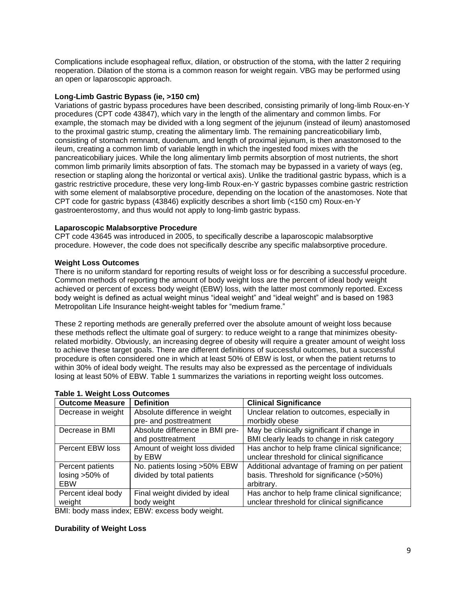Complications include esophageal reflux, dilation, or obstruction of the stoma, with the latter 2 requiring reoperation. Dilation of the stoma is a common reason for weight regain. VBG may be performed using an open or laparoscopic approach.

#### **Long-Limb Gastric Bypass (ie, >150 cm)**

Variations of gastric bypass procedures have been described, consisting primarily of long-limb Roux-en-Y procedures (CPT code 43847), which vary in the length of the alimentary and common limbs. For example, the stomach may be divided with a long segment of the jejunum (instead of ileum) anastomosed to the proximal gastric stump, creating the alimentary limb. The remaining pancreaticobiliary limb, consisting of stomach remnant, duodenum, and length of proximal jejunum, is then anastomosed to the ileum, creating a common limb of variable length in which the ingested food mixes with the pancreaticobiliary juices. While the long alimentary limb permits absorption of most nutrients, the short common limb primarily limits absorption of fats. The stomach may be bypassed in a variety of ways (eg, resection or stapling along the horizontal or vertical axis). Unlike the traditional gastric bypass, which is a gastric restrictive procedure, these very long-limb Roux-en-Y gastric bypasses combine gastric restriction with some element of malabsorptive procedure, depending on the location of the anastomoses. Note that CPT code for gastric bypass (43846) explicitly describes a short limb (<150 cm) Roux-en-Y gastroenterostomy, and thus would not apply to long-limb gastric bypass.

#### **Laparoscopic Malabsorptive Procedure**

CPT code 43645 was introduced in 2005, to specifically describe a laparoscopic malabsorptive procedure. However, the code does not specifically describe any specific malabsorptive procedure.

#### **Weight Loss Outcomes**

There is no uniform standard for reporting results of weight loss or for describing a successful procedure. Common methods of reporting the amount of body weight loss are the percent of ideal body weight achieved or percent of excess body weight (EBW) loss, with the latter most commonly reported. Excess body weight is defined as actual weight minus "ideal weight" and "ideal weight" and is based on 1983 Metropolitan Life Insurance height-weight tables for "medium frame."

These 2 reporting methods are generally preferred over the absolute amount of weight loss because these methods reflect the ultimate goal of surgery: to reduce weight to a range that minimizes obesityrelated morbidity. Obviously, an increasing degree of obesity will require a greater amount of weight loss to achieve these target goals. There are different definitions of successful outcomes, but a successful procedure is often considered one in which at least 50% of EBW is lost, or when the patient returns to within 30% of ideal body weight. The results may also be expressed as the percentage of individuals losing at least 50% of EBW. Table 1 summarizes the variations in reporting weight loss outcomes.

| rable 1. Weight Loss Outcomes |                                 |                                                 |
|-------------------------------|---------------------------------|-------------------------------------------------|
| <b>Outcome Measure</b>        | <b>Definition</b>               | <b>Clinical Significance</b>                    |
| Decrease in weight            | Absolute difference in weight   | Unclear relation to outcomes, especially in     |
|                               | pre- and posttreatment          | morbidly obese                                  |
| Decrease in BMI               | Absolute difference in BMI pre- | May be clinically significant if change in      |
|                               | and posttreatment               | BMI clearly leads to change in risk category    |
| Percent EBW loss              | Amount of weight loss divided   | Has anchor to help frame clinical significance; |
|                               | by EBW                          | unclear threshold for clinical significance     |
| Percent patients              | No. patients losing >50% EBW    | Additional advantage of framing on per patient  |
| losing $>50\%$ of             | divided by total patients       | basis. Threshold for significance (>50%)        |
| <b>EBW</b>                    |                                 | arbitrary.                                      |
| Percent ideal body            | Final weight divided by ideal   | Has anchor to help frame clinical significance; |
| weight                        | body weight                     | unclear threshold for clinical significance     |

### **Table 1. Weight Loss Outcomes**

BMI: body mass index; EBW: excess body weight.

#### **Durability of Weight Loss**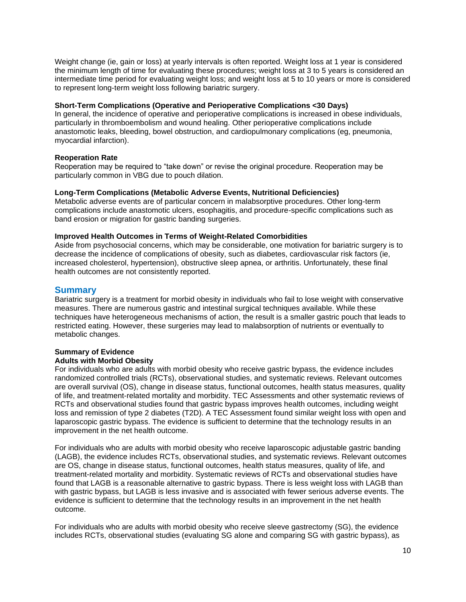Weight change (ie, gain or loss) at yearly intervals is often reported. Weight loss at 1 year is considered the minimum length of time for evaluating these procedures; weight loss at 3 to 5 years is considered an intermediate time period for evaluating weight loss; and weight loss at 5 to 10 years or more is considered to represent long-term weight loss following bariatric surgery.

#### **Short-Term Complications (Operative and Perioperative Complications <30 Days)**

In general, the incidence of operative and perioperative complications is increased in obese individuals, particularly in thromboembolism and wound healing. Other perioperative complications include anastomotic leaks, bleeding, bowel obstruction, and cardiopulmonary complications (eg, pneumonia, myocardial infarction).

#### **Reoperation Rate**

Reoperation may be required to "take down" or revise the original procedure. Reoperation may be particularly common in VBG due to pouch dilation.

#### **Long-Term Complications (Metabolic Adverse Events, Nutritional Deficiencies)**

Metabolic adverse events are of particular concern in malabsorptive procedures. Other long-term complications include anastomotic ulcers, esophagitis, and procedure-specific complications such as band erosion or migration for gastric banding surgeries.

#### **Improved Health Outcomes in Terms of Weight-Related Comorbidities**

Aside from psychosocial concerns, which may be considerable, one motivation for bariatric surgery is to decrease the incidence of complications of obesity, such as diabetes, cardiovascular risk factors (ie, increased cholesterol, hypertension), obstructive sleep apnea, or arthritis. Unfortunately, these final health outcomes are not consistently reported.

#### **Summary**

Bariatric surgery is a treatment for morbid obesity in individuals who fail to lose weight with conservative measures. There are numerous gastric and intestinal surgical techniques available. While these techniques have heterogeneous mechanisms of action, the result is a smaller gastric pouch that leads to restricted eating. However, these surgeries may lead to malabsorption of nutrients or eventually to metabolic changes.

#### **Summary of Evidence Adults with Morbid Obesity**

For individuals who are adults with morbid obesity who receive gastric bypass, the evidence includes randomized controlled trials (RCTs), observational studies, and systematic reviews. Relevant outcomes are overall survival (OS), change in disease status, functional outcomes, health status measures, quality of life, and treatment-related mortality and morbidity. TEC Assessments and other systematic reviews of RCTs and observational studies found that gastric bypass improves health outcomes, including weight loss and remission of type 2 diabetes (T2D). A TEC Assessment found similar weight loss with open and laparoscopic gastric bypass. The evidence is sufficient to determine that the technology results in an improvement in the net health outcome.

For individuals who are adults with morbid obesity who receive laparoscopic adjustable gastric banding (LAGB), the evidence includes RCTs, observational studies, and systematic reviews. Relevant outcomes are OS, change in disease status, functional outcomes, health status measures, quality of life, and treatment-related mortality and morbidity. Systematic reviews of RCTs and observational studies have found that LAGB is a reasonable alternative to gastric bypass. There is less weight loss with LAGB than with gastric bypass, but LAGB is less invasive and is associated with fewer serious adverse events. The evidence is sufficient to determine that the technology results in an improvement in the net health outcome.

For individuals who are adults with morbid obesity who receive sleeve gastrectomy (SG), the evidence includes RCTs, observational studies (evaluating SG alone and comparing SG with gastric bypass), as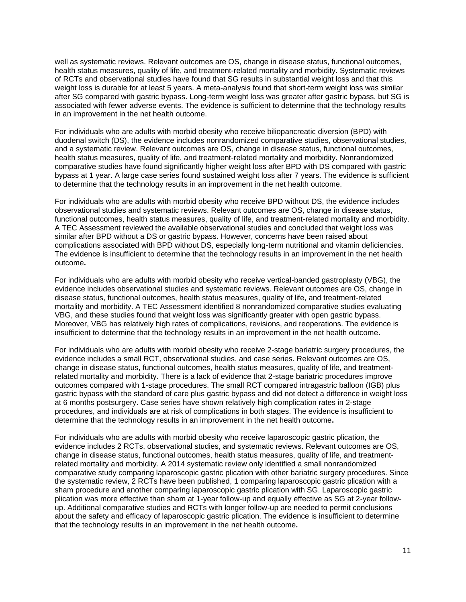well as systematic reviews. Relevant outcomes are OS, change in disease status, functional outcomes, health status measures, quality of life, and treatment-related mortality and morbidity. Systematic reviews of RCTs and observational studies have found that SG results in substantial weight loss and that this weight loss is durable for at least 5 years. A meta-analysis found that short-term weight loss was similar after SG compared with gastric bypass. Long-term weight loss was greater after gastric bypass, but SG is associated with fewer adverse events. The evidence is sufficient to determine that the technology results in an improvement in the net health outcome.

For individuals who are adults with morbid obesity who receive biliopancreatic diversion (BPD) with duodenal switch (DS), the evidence includes nonrandomized comparative studies, observational studies, and a systematic review. Relevant outcomes are OS, change in disease status, functional outcomes, health status measures, quality of life, and treatment-related mortality and morbidity. Nonrandomized comparative studies have found significantly higher weight loss after BPD with DS compared with gastric bypass at 1 year. A large case series found sustained weight loss after 7 years. The evidence is sufficient to determine that the technology results in an improvement in the net health outcome.

For individuals who are adults with morbid obesity who receive BPD without DS, the evidence includes observational studies and systematic reviews. Relevant outcomes are OS, change in disease status, functional outcomes, health status measures, quality of life, and treatment-related mortality and morbidity. A TEC Assessment reviewed the available observational studies and concluded that weight loss was similar after BPD without a DS or gastric bypass. However, concerns have been raised about complications associated with BPD without DS, especially long-term nutritional and vitamin deficiencies. The evidence is insufficient to determine that the technology results in an improvement in the net health outcome**.**

For individuals who are adults with morbid obesity who receive vertical-banded gastroplasty (VBG), the evidence includes observational studies and systematic reviews. Relevant outcomes are OS, change in disease status, functional outcomes, health status measures, quality of life, and treatment-related mortality and morbidity. A TEC Assessment identified 8 nonrandomized comparative studies evaluating VBG, and these studies found that weight loss was significantly greater with open gastric bypass. Moreover, VBG has relatively high rates of complications, revisions, and reoperations. The evidence is insufficient to determine that the technology results in an improvement in the net health outcome**.**

For individuals who are adults with morbid obesity who receive 2-stage bariatric surgery procedures, the evidence includes a small RCT, observational studies, and case series. Relevant outcomes are OS, change in disease status, functional outcomes, health status measures, quality of life, and treatmentrelated mortality and morbidity. There is a lack of evidence that 2-stage bariatric procedures improve outcomes compared with 1-stage procedures. The small RCT compared intragastric balloon (IGB) plus gastric bypass with the standard of care plus gastric bypass and did not detect a difference in weight loss at 6 months postsurgery. Case series have shown relatively high complication rates in 2-stage procedures, and individuals are at risk of complications in both stages. The evidence is insufficient to determine that the technology results in an improvement in the net health outcome**.**

For individuals who are adults with morbid obesity who receive laparoscopic gastric plication, the evidence includes 2 RCTs, observational studies, and systematic reviews. Relevant outcomes are OS, change in disease status, functional outcomes, health status measures, quality of life, and treatmentrelated mortality and morbidity. A 2014 systematic review only identified a small nonrandomized comparative study comparing laparoscopic gastric plication with other bariatric surgery procedures. Since the systematic review, 2 RCTs have been published, 1 comparing laparoscopic gastric plication with a sham procedure and another comparing laparoscopic gastric plication with SG. Laparoscopic gastric plication was more effective than sham at 1-year follow-up and equally effective as SG at 2-year followup. Additional comparative studies and RCTs with longer follow-up are needed to permit conclusions about the safety and efficacy of laparoscopic gastric plication. The evidence is insufficient to determine that the technology results in an improvement in the net health outcome**.**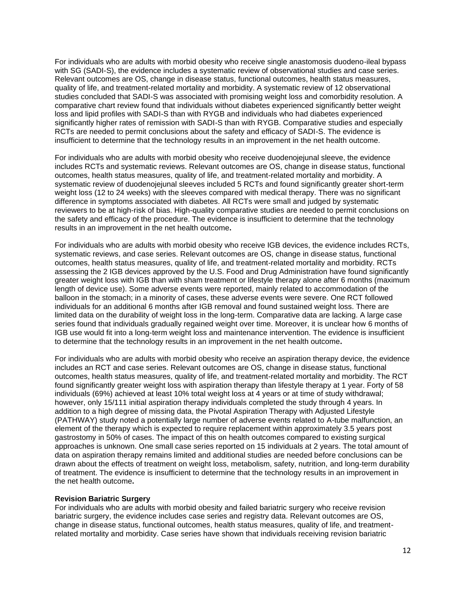For individuals who are adults with morbid obesity who receive single anastomosis duodeno-ileal bypass with SG (SADI-S), the evidence includes a systematic review of observational studies and case series. Relevant outcomes are OS, change in disease status, functional outcomes, health status measures, quality of life, and treatment-related mortality and morbidity. A systematic review of 12 observational studies concluded that SADI-S was associated with promising weight loss and comorbidity resolution. A comparative chart review found that individuals without diabetes experienced significantly better weight loss and lipid profiles with SADI-S than with RYGB and individuals who had diabetes experienced significantly higher rates of remission with SADI-S than with RYGB. Comparative studies and especially RCTs are needed to permit conclusions about the safety and efficacy of SADI-S. The evidence is insufficient to determine that the technology results in an improvement in the net health outcome.

For individuals who are adults with morbid obesity who receive duodenojejunal sleeve, the evidence includes RCTs and systematic reviews. Relevant outcomes are OS, change in disease status, functional outcomes, health status measures, quality of life, and treatment-related mortality and morbidity. A systematic review of duodenojejunal sleeves included 5 RCTs and found significantly greater short-term weight loss (12 to 24 weeks) with the sleeves compared with medical therapy. There was no significant difference in symptoms associated with diabetes. All RCTs were small and judged by systematic reviewers to be at high-risk of bias. High-quality comparative studies are needed to permit conclusions on the safety and efficacy of the procedure. The evidence is insufficient to determine that the technology results in an improvement in the net health outcome**.**

For individuals who are adults with morbid obesity who receive IGB devices, the evidence includes RCTs, systematic reviews, and case series. Relevant outcomes are OS, change in disease status, functional outcomes, health status measures, quality of life, and treatment-related mortality and morbidity. RCTs assessing the 2 IGB devices approved by the U.S. Food and Drug Administration have found significantly greater weight loss with IGB than with sham treatment or lifestyle therapy alone after 6 months (maximum length of device use). Some adverse events were reported, mainly related to accommodation of the balloon in the stomach; in a minority of cases, these adverse events were severe. One RCT followed individuals for an additional 6 months after IGB removal and found sustained weight loss. There are limited data on the durability of weight loss in the long-term. Comparative data are lacking. A large case series found that individuals gradually regained weight over time. Moreover, it is unclear how 6 months of IGB use would fit into a long-term weight loss and maintenance intervention. The evidence is insufficient to determine that the technology results in an improvement in the net health outcome**.**

For individuals who are adults with morbid obesity who receive an aspiration therapy device, the evidence includes an RCT and case series. Relevant outcomes are OS, change in disease status, functional outcomes, health status measures, quality of life, and treatment-related mortality and morbidity. The RCT found significantly greater weight loss with aspiration therapy than lifestyle therapy at 1 year. Forty of 58 individuals (69%) achieved at least 10% total weight loss at 4 years or at time of study withdrawal; however, only 15/111 initial aspiration therapy individuals completed the study through 4 years. In addition to a high degree of missing data, the Pivotal Aspiration Therapy with Adjusted Lifestyle (PATHWAY) study noted a potentially large number of adverse events related to A-tube malfunction, an element of the therapy which is expected to require replacement within approximately 3.5 years post gastrostomy in 50% of cases. The impact of this on health outcomes compared to existing surgical approaches is unknown. One small case series reported on 15 individuals at 2 years. The total amount of data on aspiration therapy remains limited and additional studies are needed before conclusions can be drawn about the effects of treatment on weight loss, metabolism, safety, nutrition, and long-term durability of treatment. The evidence is insufficient to determine that the technology results in an improvement in the net health outcome**.**

#### **Revision Bariatric Surgery**

For individuals who are adults with morbid obesity and failed bariatric surgery who receive revision bariatric surgery, the evidence includes case series and registry data. Relevant outcomes are OS, change in disease status, functional outcomes, health status measures, quality of life, and treatmentrelated mortality and morbidity. Case series have shown that individuals receiving revision bariatric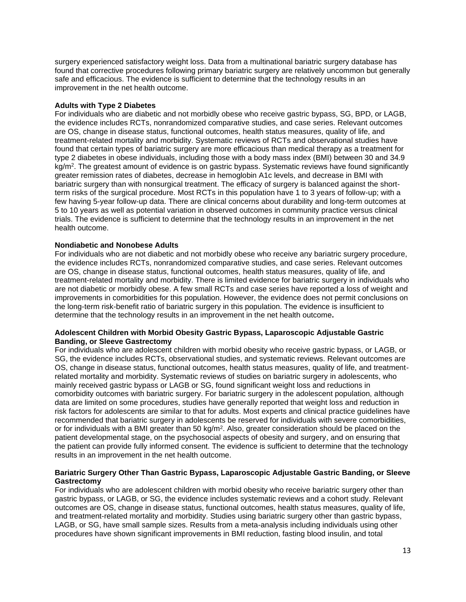surgery experienced satisfactory weight loss. Data from a multinational bariatric surgery database has found that corrective procedures following primary bariatric surgery are relatively uncommon but generally safe and efficacious. The evidence is sufficient to determine that the technology results in an improvement in the net health outcome.

#### **Adults with Type 2 Diabetes**

For individuals who are diabetic and not morbidly obese who receive gastric bypass, SG, BPD, or LAGB, the evidence includes RCTs, nonrandomized comparative studies, and case series. Relevant outcomes are OS, change in disease status, functional outcomes, health status measures, quality of life, and treatment-related mortality and morbidity. Systematic reviews of RCTs and observational studies have found that certain types of bariatric surgery are more efficacious than medical therapy as a treatment for type 2 diabetes in obese individuals, including those with a body mass index (BMI) between 30 and 34.9 kg/m<sup>2</sup>. The greatest amount of evidence is on gastric bypass. Systematic reviews have found significantly greater remission rates of diabetes, decrease in hemoglobin A1c levels, and decrease in BMI with bariatric surgery than with nonsurgical treatment. The efficacy of surgery is balanced against the shortterm risks of the surgical procedure. Most RCTs in this population have 1 to 3 years of follow-up; with a few having 5-year follow-up data. There are clinical concerns about durability and long-term outcomes at 5 to 10 years as well as potential variation in observed outcomes in community practice versus clinical trials. The evidence is sufficient to determine that the technology results in an improvement in the net health outcome.

#### **Nondiabetic and Nonobese Adults**

For individuals who are not diabetic and not morbidly obese who receive any bariatric surgery procedure, the evidence includes RCTs, nonrandomized comparative studies, and case series. Relevant outcomes are OS, change in disease status, functional outcomes, health status measures, quality of life, and treatment-related mortality and morbidity. There is limited evidence for bariatric surgery in individuals who are not diabetic or morbidly obese. A few small RCTs and case series have reported a loss of weight and improvements in comorbidities for this population. However, the evidence does not permit conclusions on the long-term risk-benefit ratio of bariatric surgery in this population. The evidence is insufficient to determine that the technology results in an improvement in the net health outcome**.**

#### **Adolescent Children with Morbid Obesity Gastric Bypass, Laparoscopic Adjustable Gastric Banding, or Sleeve Gastrectomy**

For individuals who are adolescent children with morbid obesity who receive gastric bypass, or LAGB, or SG, the evidence includes RCTs, observational studies, and systematic reviews. Relevant outcomes are OS, change in disease status, functional outcomes, health status measures, quality of life, and treatmentrelated mortality and morbidity. Systematic reviews of studies on bariatric surgery in adolescents, who mainly received gastric bypass or LAGB or SG, found significant weight loss and reductions in comorbidity outcomes with bariatric surgery. For bariatric surgery in the adolescent population, although data are limited on some procedures, studies have generally reported that weight loss and reduction in risk factors for adolescents are similar to that for adults. Most experts and clinical practice guidelines have recommended that bariatric surgery in adolescents be reserved for individuals with severe comorbidities, or for individuals with a BMI greater than 50 kg/m<sup>2</sup>. Also, greater consideration should be placed on the patient developmental stage, on the psychosocial aspects of obesity and surgery, and on ensuring that the patient can provide fully informed consent. The evidence is sufficient to determine that the technology results in an improvement in the net health outcome.

#### **Bariatric Surgery Other Than Gastric Bypass, Laparoscopic Adjustable Gastric Banding, or Sleeve Gastrectomy**

For individuals who are adolescent children with morbid obesity who receive bariatric surgery other than gastric bypass, or LAGB, or SG, the evidence includes systematic reviews and a cohort study. Relevant outcomes are OS, change in disease status, functional outcomes, health status measures, quality of life, and treatment-related mortality and morbidity. Studies using bariatric surgery other than gastric bypass, LAGB, or SG, have small sample sizes. Results from a meta-analysis including individuals using other procedures have shown significant improvements in BMI reduction, fasting blood insulin, and total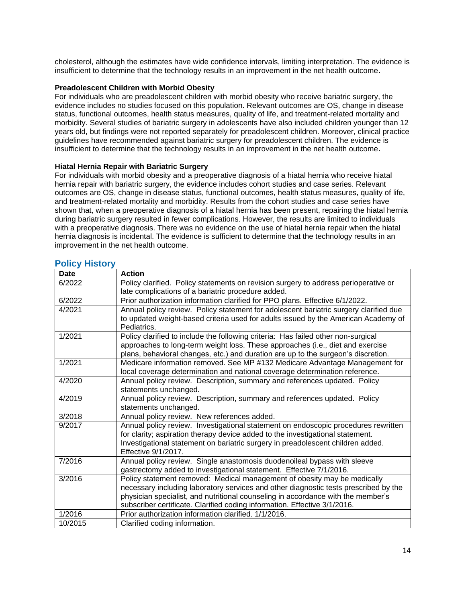cholesterol, although the estimates have wide confidence intervals, limiting interpretation. The evidence is insufficient to determine that the technology results in an improvement in the net health outcome**.**

#### **Preadolescent Children with Morbid Obesity**

For individuals who are preadolescent children with morbid obesity who receive bariatric surgery, the evidence includes no studies focused on this population. Relevant outcomes are OS, change in disease status, functional outcomes, health status measures, quality of life, and treatment-related mortality and morbidity. Several studies of bariatric surgery in adolescents have also included children younger than 12 years old, but findings were not reported separately for preadolescent children. Moreover, clinical practice guidelines have recommended against bariatric surgery for preadolescent children. The evidence is insufficient to determine that the technology results in an improvement in the net health outcome**.**

#### **Hiatal Hernia Repair with Bariatric Surgery**

For individuals with morbid obesity and a preoperative diagnosis of a hiatal hernia who receive hiatal hernia repair with bariatric surgery, the evidence includes cohort studies and case series. Relevant outcomes are OS, change in disease status, functional outcomes, health status measures, quality of life, and treatment-related mortality and morbidity. Results from the cohort studies and case series have shown that, when a preoperative diagnosis of a hiatal hernia has been present, repairing the hiatal hernia during bariatric surgery resulted in fewer complications. However, the results are limited to individuals with a preoperative diagnosis. There was no evidence on the use of hiatal hernia repair when the hiatal hernia diagnosis is incidental. The evidence is sufficient to determine that the technology results in an improvement in the net health outcome.

| <b>Date</b> | <b>Action</b>                                                                         |
|-------------|---------------------------------------------------------------------------------------|
| 6/2022      | Policy clarified. Policy statements on revision surgery to address perioperative or   |
|             | late complications of a bariatric procedure added.                                    |
| 6/2022      | Prior authorization information clarified for PPO plans. Effective 6/1/2022.          |
| 4/2021      | Annual policy review. Policy statement for adolescent bariatric surgery clarified due |
|             | to updated weight-based criteria used for adults issued by the American Academy of    |
|             | Pediatrics.                                                                           |
| 1/2021      | Policy clarified to include the following criteria: Has failed other non-surgical     |
|             | approaches to long-term weight loss. These approaches (i.e., diet and exercise        |
|             | plans, behavioral changes, etc.) and duration are up to the surgeon's discretion.     |
| 1/2021      | Medicare information removed. See MP #132 Medicare Advantage Management for           |
|             | local coverage determination and national coverage determination reference.           |
| 4/2020      | Annual policy review. Description, summary and references updated. Policy             |
|             | statements unchanged.                                                                 |
| 4/2019      | Annual policy review. Description, summary and references updated. Policy             |
|             | statements unchanged.                                                                 |
| 3/2018      | Annual policy review. New references added.                                           |
| 9/2017      | Annual policy review. Investigational statement on endoscopic procedures rewritten    |
|             | for clarity; aspiration therapy device added to the investigational statement.        |
|             | Investigational statement on bariatric surgery in preadolescent children added.       |
|             | Effective 9/1/2017.                                                                   |
| 7/2016      | Annual policy review. Single anastomosis duodenoileal bypass with sleeve              |
|             | gastrectomy added to investigational statement. Effective 7/1/2016.                   |
| 3/2016      | Policy statement removed: Medical management of obesity may be medically              |
|             | necessary including laboratory services and other diagnostic tests prescribed by the  |
|             | physician specialist, and nutritional counseling in accordance with the member's      |
|             | subscriber certificate. Clarified coding information. Effective 3/1/2016.             |
| 1/2016      | Prior authorization information clarified. 1/1/2016.                                  |
| 10/2015     | Clarified coding information.                                                         |

### <span id="page-13-0"></span>**Policy History**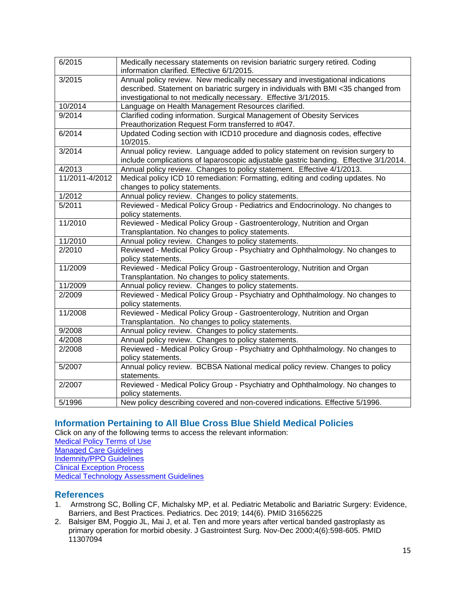| 6/2015         | Medically necessary statements on revision bariatric surgery retired. Coding          |
|----------------|---------------------------------------------------------------------------------------|
|                | information clarified. Effective 6/1/2015.                                            |
| 3/2015         | Annual policy review. New medically necessary and investigational indications         |
|                | described. Statement on bariatric surgery in individuals with BMI <35 changed from    |
|                | investigational to not medically necessary. Effective 3/1/2015.                       |
| 10/2014        | Language on Health Management Resources clarified.                                    |
| 9/2014         | Clarified coding information. Surgical Management of Obesity Services                 |
|                | Preauthorization Request Form transferred to #047.                                    |
| 6/2014         | Updated Coding section with ICD10 procedure and diagnosis codes, effective            |
|                | 10/2015.                                                                              |
| 3/2014         | Annual policy review. Language added to policy statement on revision surgery to       |
|                | include complications of laparoscopic adjustable gastric banding. Effective 3/1/2014. |
| 4/2013         | Annual policy review. Changes to policy statement. Effective 4/1/2013.                |
| 11/2011-4/2012 | Medical policy ICD 10 remediation: Formatting, editing and coding updates. No         |
|                | changes to policy statements.                                                         |
| 1/2012         | Annual policy review. Changes to policy statements.                                   |
| 5/2011         | Reviewed - Medical Policy Group - Pediatrics and Endocrinology. No changes to         |
|                | policy statements.                                                                    |
| 11/2010        | Reviewed - Medical Policy Group - Gastroenterology, Nutrition and Organ               |
|                | Transplantation. No changes to policy statements.                                     |
| 11/2010        | Annual policy review. Changes to policy statements.                                   |
| 2/2010         | Reviewed - Medical Policy Group - Psychiatry and Ophthalmology. No changes to         |
|                | policy statements.                                                                    |
| 11/2009        | Reviewed - Medical Policy Group - Gastroenterology, Nutrition and Organ               |
|                | Transplantation. No changes to policy statements.                                     |
| 11/2009        | Annual policy review. Changes to policy statements.                                   |
| 2/2009         | Reviewed - Medical Policy Group - Psychiatry and Ophthalmology. No changes to         |
|                | policy statements.                                                                    |
| 11/2008        | Reviewed - Medical Policy Group - Gastroenterology, Nutrition and Organ               |
|                | Transplantation. No changes to policy statements.                                     |
| 9/2008         | Annual policy review. Changes to policy statements.                                   |
| 4/2008         | Annual policy review. Changes to policy statements.                                   |
| 2/2008         | Reviewed - Medical Policy Group - Psychiatry and Ophthalmology. No changes to         |
|                | policy statements.                                                                    |
| 5/2007         | Annual policy review. BCBSA National medical policy review. Changes to policy         |
|                | statements.                                                                           |
| 2/2007         | Reviewed - Medical Policy Group - Psychiatry and Ophthalmology. No changes to         |
|                | policy statements.                                                                    |
| 5/1996         | New policy describing covered and non-covered indications. Effective 5/1996.          |

# <span id="page-14-0"></span>**[Information Pertaining to All Blue Cross Blue Shield Medical Policies](#page-14-0)**

Click on any of the following terms to access the relevant information: [Medical Policy Terms of Use](http://www.bluecrossma.org/medical-policies/sites/g/files/csphws2091/files/acquiadam-assets/Medical_Policy_Terms_of_Use_prn.pdf) [Managed Care Guidelines](http://www.bluecrossma.org/medical-policies/sites/g/files/csphws2091/files/acquiadam-assets/Managed_Care_Guidelines_prn.pdf) [Indemnity/PPO Guidelines](http://www.bluecrossma.org/medical-policies/sites/g/files/csphws2091/files/acquiadam-assets/Indemnity_and_PPO_Guidelines_prn.pdf) [Clinical Exception Process](http://www.bluecrossma.org/medical-policies/sites/g/files/csphws2091/files/acquiadam-assets/Clinical_Exception_Process_prn.pdf) [Medical Technology Assessment Guidelines](http://www.bluecrossma.org/medical-policies/sites/g/files/csphws2091/files/acquiadam-assets/Medical_Technology_Assessment_Guidelines_prn.pdf)

# <span id="page-14-1"></span>**References**

- 1. Armstrong SC, Bolling CF, Michalsky MP, et al. Pediatric Metabolic and Bariatric Surgery: Evidence, Barriers, and Best Practices. Pediatrics. Dec 2019; 144(6). PMID 31656225
- 2. Balsiger BM, Poggio JL, Mai J, et al. Ten and more years after vertical banded gastroplasty as primary operation for morbid obesity. J Gastrointest Surg. Nov-Dec 2000;4(6):598-605. PMID 11307094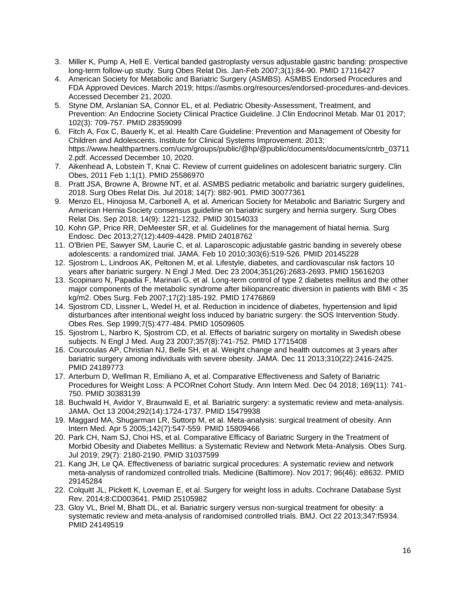- 3. Miller K, Pump A, Hell E. Vertical banded gastroplasty versus adjustable gastric banding: prospective long-term follow-up study. Surg Obes Relat Dis. Jan-Feb 2007;3(1):84-90. PMID 17116427
- 4. American Society for Metabolic and Bariatric Surgery (ASMBS). ASMBS Endorsed Procedures and FDA Approved Devices. March 2019; https://asmbs.org/resources/endorsed-procedures-and-devices. Accessed December 21, 2020.
- 5. Styne DM, Arslanian SA, Connor EL, et al. Pediatric Obesity-Assessment, Treatment, and Prevention: An Endocrine Society Clinical Practice Guideline. J Clin Endocrinol Metab. Mar 01 2017; 102(3): 709-757. PMID 28359099
- 6. Fitch A, Fox C, Bauerly K, et al. Health Care Guideline: Prevention and Management of Obesity for Children and Adolescents. Institute for Clinical Systems Improvement. 2013; https://www.healthpartners.com/ucm/groups/public/@hp/@public/documents/documents/cntrb\_03711 2.pdf. Accessed December 10, 2020.
- 7. Aikenhead A, Lobstein T, Knai C. Review of current guidelines on adolescent bariatric surgery. Clin Obes, 2011 Feb 1;1(1). PMID 25586970
- 8. Pratt JSA, Browne A, Browne NT, et al. ASMBS pediatric metabolic and bariatric surgery guidelines, 2018. Surg Obes Relat Dis. Jul 2018; 14(7): 882-901. PMID 30077361
- 9. Menzo EL, Hinojosa M, Carbonell A, et al. American Society for Metabolic and Bariatric Surgery and American Hernia Society consensus guideline on bariatric surgery and hernia surgery. Surg Obes Relat Dis. Sep 2018; 14(9): 1221-1232. PMID 30154033
- 10. Kohn GP, Price RR, DeMeester SR, et al. Guidelines for the management of hiatal hernia. Surg Endosc. Dec 2013;27(12):4409-4428. PMID 24018762
- 11. O'Brien PE, Sawyer SM, Laurie C, et al. Laparoscopic adjustable gastric banding in severely obese adolescents: a randomized trial. JAMA. Feb 10 2010;303(6):519-526. PMID 20145228
- 12. Sjostrom L, Lindroos AK, Peltonen M, et al. Lifestyle, diabetes, and cardiovascular risk factors 10 years after bariatric surgery. N Engl J Med. Dec 23 2004;351(26):2683-2693. PMID 15616203
- 13. Scopinaro N, Papadia F, Marinari G, et al. Long-term control of type 2 diabetes mellitus and the other major components of the metabolic syndrome after biliopancreatic diversion in patients with BMI < 35 kg/m2. Obes Surg. Feb 2007;17(2):185-192. PMID 17476869
- 14. Sjostrom CD, Lissner L, Wedel H, et al. Reduction in incidence of diabetes, hypertension and lipid disturbances after intentional weight loss induced by bariatric surgery: the SOS Intervention Study. Obes Res. Sep 1999;7(5):477-484. PMID 10509605
- 15. Sjostrom L, Narbro K, Sjostrom CD, et al. Effects of bariatric surgery on mortality in Swedish obese subjects. N Engl J Med. Aug 23 2007;357(8):741-752. PMID 17715408
- 16. Courcoulas AP, Christian NJ, Belle SH, et al. Weight change and health outcomes at 3 years after bariatric surgery among individuals with severe obesity. JAMA. Dec 11 2013;310(22):2416-2425. PMID 24189773
- 17. Arterburn D, Wellman R, Emiliano A, et al. Comparative Effectiveness and Safety of Bariatric Procedures for Weight Loss: A PCORnet Cohort Study. Ann Intern Med. Dec 04 2018; 169(11): 741- 750. PMID 30383139
- 18. Buchwald H, Avidor Y, Braunwald E, et al. Bariatric surgery: a systematic review and meta-analysis. JAMA. Oct 13 2004;292(14):1724-1737. PMID 15479938
- 19. Maggard MA, Shugarman LR, Suttorp M, et al. Meta-analysis: surgical treatment of obesity. Ann Intern Med. Apr 5 2005;142(7):547-559. PMID 15809466
- 20. Park CH, Nam SJ, Choi HS, et al. Comparative Efficacy of Bariatric Surgery in the Treatment of Morbid Obesity and Diabetes Mellitus: a Systematic Review and Network Meta-Analysis. Obes Surg. Jul 2019; 29(7): 2180-2190. PMID 31037599
- 21. Kang JH, Le QA. Effectiveness of bariatric surgical procedures: A systematic review and network meta-analysis of randomized controlled trials. Medicine (Baltimore). Nov 2017; 96(46): e8632. PMID 29145284
- 22. Colquitt JL, Pickett K, Loveman E, et al. Surgery for weight loss in adults. Cochrane Database Syst Rev. 2014;8:CD003641. PMID 25105982
- 23. Gloy VL, Briel M, Bhatt DL, et al. Bariatric surgery versus non-surgical treatment for obesity: a systematic review and meta-analysis of randomised controlled trials. BMJ. Oct 22 2013;347:f5934. PMID 24149519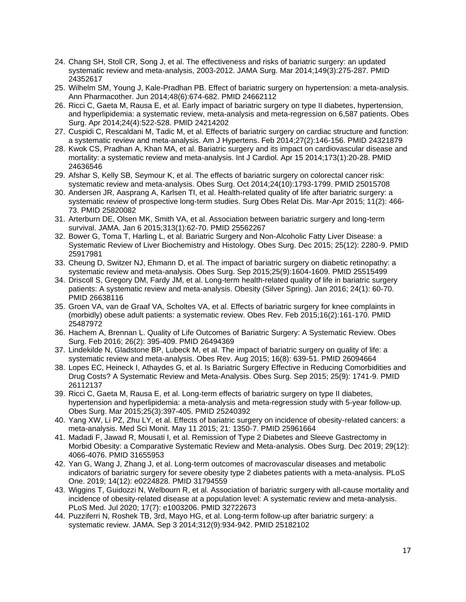- 24. Chang SH, Stoll CR, Song J, et al. The effectiveness and risks of bariatric surgery: an updated systematic review and meta-analysis, 2003-2012. JAMA Surg. Mar 2014;149(3):275-287. PMID 24352617
- 25. Wilhelm SM, Young J, Kale-Pradhan PB. Effect of bariatric surgery on hypertension: a meta-analysis. Ann Pharmacother. Jun 2014;48(6):674-682. PMID 24662112
- 26. Ricci C, Gaeta M, Rausa E, et al. Early impact of bariatric surgery on type II diabetes, hypertension, and hyperlipidemia: a systematic review, meta-analysis and meta-regression on 6,587 patients. Obes Surg. Apr 2014;24(4):522-528. PMID 24214202
- 27. Cuspidi C, Rescaldani M, Tadic M, et al. Effects of bariatric surgery on cardiac structure and function: a systematic review and meta-analysis. Am J Hypertens. Feb 2014;27(2):146-156. PMID 24321879
- 28. Kwok CS, Pradhan A, Khan MA, et al. Bariatric surgery and its impact on cardiovascular disease and mortality: a systematic review and meta-analysis. Int J Cardiol. Apr 15 2014;173(1):20-28. PMID 24636546
- 29. Afshar S, Kelly SB, Seymour K, et al. The effects of bariatric surgery on colorectal cancer risk: systematic review and meta-analysis. Obes Surg. Oct 2014;24(10):1793-1799. PMID 25015708
- 30. Andersen JR, Aasprang A, Karlsen TI, et al. Health-related quality of life after bariatric surgery: a systematic review of prospective long-term studies. Surg Obes Relat Dis. Mar-Apr 2015; 11(2): 466- 73. PMID 25820082
- 31. Arterburn DE, Olsen MK, Smith VA, et al. Association between bariatric surgery and long-term survival. JAMA. Jan 6 2015;313(1):62-70. PMID 25562267
- 32. Bower G, Toma T, Harling L, et al. Bariatric Surgery and Non-Alcoholic Fatty Liver Disease: a Systematic Review of Liver Biochemistry and Histology. Obes Surg. Dec 2015; 25(12): 2280-9. PMID 25917981
- 33. Cheung D, Switzer NJ, Ehmann D, et al. The impact of bariatric surgery on diabetic retinopathy: a systematic review and meta-analysis. Obes Surg. Sep 2015;25(9):1604-1609. PMID 25515499
- 34. Driscoll S, Gregory DM, Fardy JM, et al. Long-term health-related quality of life in bariatric surgery patients: A systematic review and meta-analysis. Obesity (Silver Spring). Jan 2016; 24(1): 60-70. PMID 26638116
- 35. Groen VA, van de Graaf VA, Scholtes VA, et al. Effects of bariatric surgery for knee complaints in (morbidly) obese adult patients: a systematic review. Obes Rev. Feb 2015;16(2):161-170. PMID 25487972
- 36. Hachem A, Brennan L. Quality of Life Outcomes of Bariatric Surgery: A Systematic Review. Obes Surg. Feb 2016; 26(2): 395-409. PMID 26494369
- 37. Lindekilde N, Gladstone BP, Lubeck M, et al. The impact of bariatric surgery on quality of life: a systematic review and meta-analysis. Obes Rev. Aug 2015; 16(8): 639-51. PMID 26094664
- 38. Lopes EC, Heineck I, Athaydes G, et al. Is Bariatric Surgery Effective in Reducing Comorbidities and Drug Costs? A Systematic Review and Meta-Analysis. Obes Surg. Sep 2015; 25(9): 1741-9. PMID 26112137
- 39. Ricci C, Gaeta M, Rausa E, et al. Long-term effects of bariatric surgery on type II diabetes, hypertension and hyperlipidemia: a meta-analysis and meta-regression study with 5-year follow-up. Obes Surg. Mar 2015;25(3):397-405. PMID 25240392
- 40. Yang XW, Li PZ, Zhu LY, et al. Effects of bariatric surgery on incidence of obesity-related cancers: a meta-analysis. Med Sci Monit. May 11 2015; 21: 1350-7. PMID 25961664
- 41. Madadi F, Jawad R, Mousati I, et al. Remission of Type 2 Diabetes and Sleeve Gastrectomy in Morbid Obesity: a Comparative Systematic Review and Meta-analysis. Obes Surg. Dec 2019; 29(12): 4066-4076. PMID 31655953
- 42. Yan G, Wang J, Zhang J, et al. Long-term outcomes of macrovascular diseases and metabolic indicators of bariatric surgery for severe obesity type 2 diabetes patients with a meta-analysis. PLoS One. 2019; 14(12): e0224828. PMID 31794559
- 43. Wiggins T, Guidozzi N, Welbourn R, et al. Association of bariatric surgery with all-cause mortality and incidence of obesity-related disease at a population level: A systematic review and meta-analysis. PLoS Med. Jul 2020; 17(7): e1003206. PMID 32722673
- 44. Puzziferri N, Roshek TB, 3rd, Mayo HG, et al. Long-term follow-up after bariatric surgery: a systematic review. JAMA. Sep 3 2014;312(9):934-942. PMID 25182102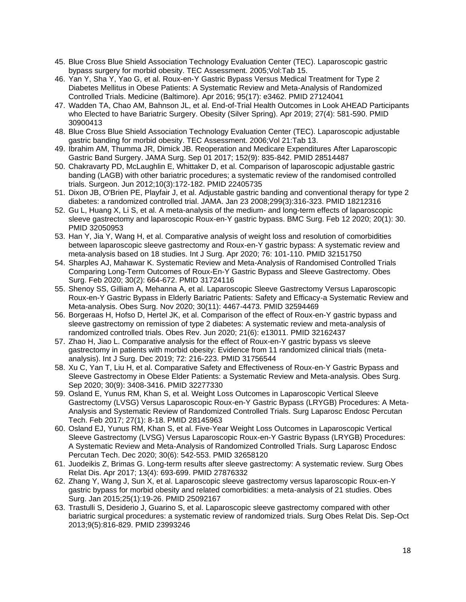- 45. Blue Cross Blue Shield Association Technology Evaluation Center (TEC). Laparoscopic gastric bypass surgery for morbid obesity. TEC Assessment. 2005;Vol:Tab 15.
- 46. Yan Y, Sha Y, Yao G, et al. Roux-en-Y Gastric Bypass Versus Medical Treatment for Type 2 Diabetes Mellitus in Obese Patients: A Systematic Review and Meta-Analysis of Randomized Controlled Trials. Medicine (Baltimore). Apr 2016; 95(17): e3462. PMID 27124041
- 47. Wadden TA, Chao AM, Bahnson JL, et al. End-of-Trial Health Outcomes in Look AHEAD Participants who Elected to have Bariatric Surgery. Obesity (Silver Spring). Apr 2019; 27(4): 581-590. PMID 30900413
- 48. Blue Cross Blue Shield Association Technology Evaluation Center (TEC). Laparoscopic adjustable gastric banding for morbid obesity. TEC Assessment. 2006;Vol 21:Tab 13.
- 49. Ibrahim AM, Thumma JR, Dimick JB. Reoperation and Medicare Expenditures After Laparoscopic Gastric Band Surgery. JAMA Surg. Sep 01 2017; 152(9): 835-842. PMID 28514487
- 50. Chakravarty PD, McLaughlin E, Whittaker D, et al. Comparison of laparoscopic adjustable gastric banding (LAGB) with other bariatric procedures; a systematic review of the randomised controlled trials. Surgeon. Jun 2012;10(3):172-182. PMID 22405735
- 51. Dixon JB, O'Brien PE, Playfair J, et al. Adjustable gastric banding and conventional therapy for type 2 diabetes: a randomized controlled trial. JAMA. Jan 23 2008;299(3):316-323. PMID 18212316
- 52. Gu L, Huang X, Li S, et al. A meta-analysis of the medium- and long-term effects of laparoscopic sleeve gastrectomy and laparoscopic Roux-en-Y gastric bypass. BMC Surg. Feb 12 2020; 20(1): 30. PMID 32050953
- 53. Han Y, Jia Y, Wang H, et al. Comparative analysis of weight loss and resolution of comorbidities between laparoscopic sleeve gastrectomy and Roux-en-Y gastric bypass: A systematic review and meta-analysis based on 18 studies. Int J Surg. Apr 2020; 76: 101-110. PMID 32151750
- 54. Sharples AJ, Mahawar K. Systematic Review and Meta-Analysis of Randomised Controlled Trials Comparing Long-Term Outcomes of Roux-En-Y Gastric Bypass and Sleeve Gastrectomy. Obes Surg. Feb 2020; 30(2): 664-672. PMID 31724116
- 55. Shenoy SS, Gilliam A, Mehanna A, et al. Laparoscopic Sleeve Gastrectomy Versus Laparoscopic Roux-en-Y Gastric Bypass in Elderly Bariatric Patients: Safety and Efficacy-a Systematic Review and Meta-analysis. Obes Surg. Nov 2020; 30(11): 4467-4473. PMID 32594469
- 56. Borgeraas H, Hofso D, Hertel JK, et al. Comparison of the effect of Roux-en-Y gastric bypass and sleeve gastrectomy on remission of type 2 diabetes: A systematic review and meta-analysis of randomized controlled trials. Obes Rev. Jun 2020; 21(6): e13011. PMID 32162437
- 57. Zhao H, Jiao L. Comparative analysis for the effect of Roux-en-Y gastric bypass vs sleeve gastrectomy in patients with morbid obesity: Evidence from 11 randomized clinical trials (metaanalysis). Int J Surg. Dec 2019; 72: 216-223. PMID 31756544
- 58. Xu C, Yan T, Liu H, et al. Comparative Safety and Effectiveness of Roux-en-Y Gastric Bypass and Sleeve Gastrectomy in Obese Elder Patients: a Systematic Review and Meta-analysis. Obes Surg. Sep 2020; 30(9): 3408-3416. PMID 32277330
- 59. Osland E, Yunus RM, Khan S, et al. Weight Loss Outcomes in Laparoscopic Vertical Sleeve Gastrectomy (LVSG) Versus Laparoscopic Roux-en-Y Gastric Bypass (LRYGB) Procedures: A Meta-Analysis and Systematic Review of Randomized Controlled Trials. Surg Laparosc Endosc Percutan Tech. Feb 2017; 27(1): 8-18. PMID 28145963
- 60. Osland EJ, Yunus RM, Khan S, et al. Five-Year Weight Loss Outcomes in Laparoscopic Vertical Sleeve Gastrectomy (LVSG) Versus Laparoscopic Roux-en-Y Gastric Bypass (LRYGB) Procedures: A Systematic Review and Meta-Analysis of Randomized Controlled Trials. Surg Laparosc Endosc Percutan Tech. Dec 2020; 30(6): 542-553. PMID 32658120
- 61. Juodeikis Z, Brimas G. Long-term results after sleeve gastrectomy: A systematic review. Surg Obes Relat Dis. Apr 2017; 13(4): 693-699. PMID 27876332
- 62. Zhang Y, Wang J, Sun X, et al. Laparoscopic sleeve gastrectomy versus laparoscopic Roux-en-Y gastric bypass for morbid obesity and related comorbidities: a meta-analysis of 21 studies. Obes Surg. Jan 2015;25(1):19-26. PMID 25092167
- 63. Trastulli S, Desiderio J, Guarino S, et al. Laparoscopic sleeve gastrectomy compared with other bariatric surgical procedures: a systematic review of randomized trials. Surg Obes Relat Dis. Sep-Oct 2013;9(5):816-829. PMID 23993246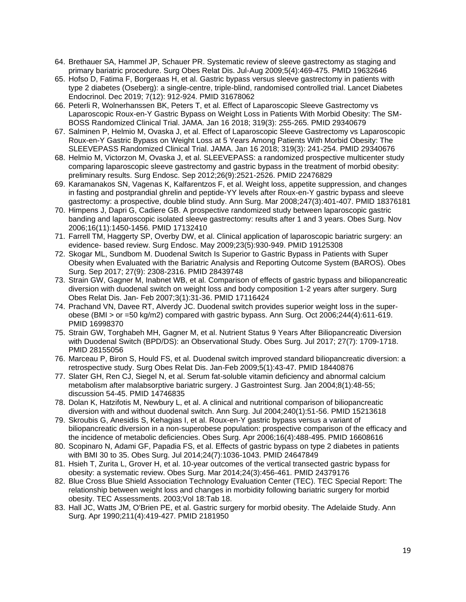- 64. Brethauer SA, Hammel JP, Schauer PR. Systematic review of sleeve gastrectomy as staging and primary bariatric procedure. Surg Obes Relat Dis. Jul-Aug 2009;5(4):469-475. PMID 19632646
- 65. Hofso D, Fatima F, Borgeraas H, et al. Gastric bypass versus sleeve gastrectomy in patients with type 2 diabetes (Oseberg): a single-centre, triple-blind, randomised controlled trial. Lancet Diabetes Endocrinol. Dec 2019; 7(12): 912-924. PMID 31678062
- 66. Peterli R, Wolnerhanssen BK, Peters T, et al. Effect of Laparoscopic Sleeve Gastrectomy vs Laparoscopic Roux-en-Y Gastric Bypass on Weight Loss in Patients With Morbid Obesity: The SM-BOSS Randomized Clinical Trial. JAMA. Jan 16 2018; 319(3): 255-265. PMID 29340679
- 67. Salminen P, Helmio M, Ovaska J, et al. Effect of Laparoscopic Sleeve Gastrectomy vs Laparoscopic Roux-en-Y Gastric Bypass on Weight Loss at 5 Years Among Patients With Morbid Obesity: The SLEEVEPASS Randomized Clinical Trial. JAMA. Jan 16 2018; 319(3): 241-254. PMID 29340676
- 68. Helmio M, Victorzon M, Ovaska J, et al. SLEEVEPASS: a randomized prospective multicenter study comparing laparoscopic sleeve gastrectomy and gastric bypass in the treatment of morbid obesity: preliminary results. Surg Endosc. Sep 2012;26(9):2521-2526. PMID 22476829
- 69. Karamanakos SN, Vagenas K, Kalfarentzos F, et al. Weight loss, appetite suppression, and changes in fasting and postprandial ghrelin and peptide-YY levels after Roux-en-Y gastric bypass and sleeve gastrectomy: a prospective, double blind study. Ann Surg. Mar 2008;247(3):401-407. PMID 18376181
- 70. Himpens J, Dapri G, Cadiere GB. A prospective randomized study between laparoscopic gastric banding and laparoscopic isolated sleeve gastrectomy: results after 1 and 3 years. Obes Surg. Nov 2006;16(11):1450-1456. PMID 17132410
- 71. Farrell TM, Haggerty SP, Overby DW, et al. Clinical application of laparoscopic bariatric surgery: an evidence- based review. Surg Endosc. May 2009;23(5):930-949. PMID 19125308
- 72. Skogar ML, Sundbom M. Duodenal Switch Is Superior to Gastric Bypass in Patients with Super Obesity when Evaluated with the Bariatric Analysis and Reporting Outcome System (BAROS). Obes Surg. Sep 2017; 27(9): 2308-2316. PMID 28439748
- 73. Strain GW, Gagner M, Inabnet WB, et al. Comparison of effects of gastric bypass and biliopancreatic diversion with duodenal switch on weight loss and body composition 1-2 years after surgery. Surg Obes Relat Dis. Jan- Feb 2007;3(1):31-36. PMID 17116424
- 74. Prachand VN, Davee RT, Alverdy JC. Duodenal switch provides superior weight loss in the superobese (BMI > or =50 kg/m2) compared with gastric bypass. Ann Surg. Oct 2006;244(4):611-619. PMID 16998370
- 75. Strain GW, Torghabeh MH, Gagner M, et al. Nutrient Status 9 Years After Biliopancreatic Diversion with Duodenal Switch (BPD/DS): an Observational Study. Obes Surg. Jul 2017; 27(7): 1709-1718. PMID 28155056
- 76. Marceau P, Biron S, Hould FS, et al. Duodenal switch improved standard biliopancreatic diversion: a retrospective study. Surg Obes Relat Dis. Jan-Feb 2009;5(1):43-47. PMID 18440876
- 77. Slater GH, Ren CJ, Siegel N, et al. Serum fat-soluble vitamin deficiency and abnormal calcium metabolism after malabsorptive bariatric surgery. J Gastrointest Surg. Jan 2004;8(1):48-55; discussion 54-45. PMID 14746835
- 78. Dolan K, Hatzifotis M, Newbury L, et al. A clinical and nutritional comparison of biliopancreatic diversion with and without duodenal switch. Ann Surg. Jul 2004;240(1):51-56. PMID 15213618
- 79. Skroubis G, Anesidis S, Kehagias I, et al. Roux-en-Y gastric bypass versus a variant of biliopancreatic diversion in a non-superobese population: prospective comparison of the efficacy and the incidence of metabolic deficiencies. Obes Surg. Apr 2006;16(4):488-495. PMID 16608616
- 80. Scopinaro N, Adami GF, Papadia FS, et al. Effects of gastric bypass on type 2 diabetes in patients with BMI 30 to 35. Obes Surg. Jul 2014;24(7):1036-1043. PMID 24647849
- 81. Hsieh T, Zurita L, Grover H, et al. 10-year outcomes of the vertical transected gastric bypass for obesity: a systematic review. Obes Surg. Mar 2014;24(3):456-461. PMID 24379176
- 82. Blue Cross Blue Shield Association Technology Evaluation Center (TEC). TEC Special Report: The relationship between weight loss and changes in morbidity following bariatric surgery for morbid obesity. TEC Assessments. 2003;Vol 18:Tab 18.
- 83. Hall JC, Watts JM, O'Brien PE, et al. Gastric surgery for morbid obesity. The Adelaide Study. Ann Surg. Apr 1990;211(4):419-427. PMID 2181950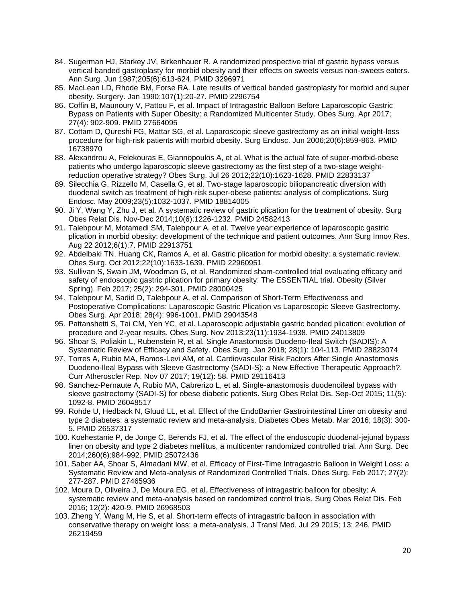- 84. Sugerman HJ, Starkey JV, Birkenhauer R. A randomized prospective trial of gastric bypass versus vertical banded gastroplasty for morbid obesity and their effects on sweets versus non-sweets eaters. Ann Surg. Jun 1987;205(6):613-624. PMID 3296971
- 85. MacLean LD, Rhode BM, Forse RA. Late results of vertical banded gastroplasty for morbid and super obesity. Surgery. Jan 1990;107(1):20-27. PMID 2296754
- 86. Coffin B, Maunoury V, Pattou F, et al. Impact of Intragastric Balloon Before Laparoscopic Gastric Bypass on Patients with Super Obesity: a Randomized Multicenter Study. Obes Surg. Apr 2017; 27(4): 902-909. PMID 27664095
- 87. Cottam D, Qureshi FG, Mattar SG, et al. Laparoscopic sleeve gastrectomy as an initial weight-loss procedure for high-risk patients with morbid obesity. Surg Endosc. Jun 2006;20(6):859-863. PMID 16738970
- 88. Alexandrou A, Felekouras E, Giannopoulos A, et al. What is the actual fate of super-morbid-obese patients who undergo laparoscopic sleeve gastrectomy as the first step of a two-stage weightreduction operative strategy? Obes Surg. Jul 26 2012;22(10):1623-1628. PMID 22833137
- 89. Silecchia G, Rizzello M, Casella G, et al. Two-stage laparoscopic biliopancreatic diversion with duodenal switch as treatment of high-risk super-obese patients: analysis of complications. Surg Endosc. May 2009;23(5):1032-1037. PMID 18814005
- 90. Ji Y, Wang Y, Zhu J, et al. A systematic review of gastric plication for the treatment of obesity. Surg Obes Relat Dis. Nov-Dec 2014;10(6):1226-1232. PMID 24582413
- 91. Talebpour M, Motamedi SM, Talebpour A, et al. Twelve year experience of laparoscopic gastric plication in morbid obesity: development of the technique and patient outcomes. Ann Surg Innov Res. Aug 22 2012;6(1):7. PMID 22913751
- 92. Abdelbaki TN, Huang CK, Ramos A, et al. Gastric plication for morbid obesity: a systematic review. Obes Surg. Oct 2012;22(10):1633-1639. PMID 22960951
- 93. Sullivan S, Swain JM, Woodman G, et al. Randomized sham-controlled trial evaluating efficacy and safety of endoscopic gastric plication for primary obesity: The ESSENTIAL trial. Obesity (Silver Spring). Feb 2017; 25(2): 294-301. PMID 28000425
- 94. Talebpour M, Sadid D, Talebpour A, et al. Comparison of Short-Term Effectiveness and Postoperative Complications: Laparoscopic Gastric Plication vs Laparoscopic Sleeve Gastrectomy. Obes Surg. Apr 2018; 28(4): 996-1001. PMID 29043548
- 95. Pattanshetti S, Tai CM, Yen YC, et al. Laparoscopic adjustable gastric banded plication: evolution of procedure and 2-year results. Obes Surg. Nov 2013;23(11):1934-1938. PMID 24013809
- 96. Shoar S, Poliakin L, Rubenstein R, et al. Single Anastomosis Duodeno-Ileal Switch (SADIS): A Systematic Review of Efficacy and Safety. Obes Surg. Jan 2018; 28(1): 104-113. PMID 28823074
- 97. Torres A, Rubio MA, Ramos-Levi AM, et al. Cardiovascular Risk Factors After Single Anastomosis Duodeno-Ileal Bypass with Sleeve Gastrectomy (SADI-S): a New Effective Therapeutic Approach?. Curr Atheroscler Rep. Nov 07 2017; 19(12): 58. PMID 29116413
- 98. Sanchez-Pernaute A, Rubio MA, Cabrerizo L, et al. Single-anastomosis duodenoileal bypass with sleeve gastrectomy (SADI-S) for obese diabetic patients. Surg Obes Relat Dis. Sep-Oct 2015; 11(5): 1092-8. PMID 26048517
- 99. Rohde U, Hedback N, Gluud LL, et al. Effect of the EndoBarrier Gastrointestinal Liner on obesity and type 2 diabetes: a systematic review and meta-analysis. Diabetes Obes Metab. Mar 2016; 18(3): 300- 5. PMID 26537317
- 100. Koehestanie P, de Jonge C, Berends FJ, et al. The effect of the endoscopic duodenal-jejunal bypass liner on obesity and type 2 diabetes mellitus, a multicenter randomized controlled trial. Ann Surg. Dec 2014;260(6):984-992. PMID 25072436
- 101. Saber AA, Shoar S, Almadani MW, et al. Efficacy of First-Time Intragastric Balloon in Weight Loss: a Systematic Review and Meta-analysis of Randomized Controlled Trials. Obes Surg. Feb 2017; 27(2): 277-287. PMID 27465936
- 102. Moura D, Oliveira J, De Moura EG, et al. Effectiveness of intragastric balloon for obesity: A systematic review and meta-analysis based on randomized control trials. Surg Obes Relat Dis. Feb 2016; 12(2): 420-9. PMID 26968503
- 103. Zheng Y, Wang M, He S, et al. Short-term effects of intragastric balloon in association with conservative therapy on weight loss: a meta-analysis. J Transl Med. Jul 29 2015; 13: 246. PMID 26219459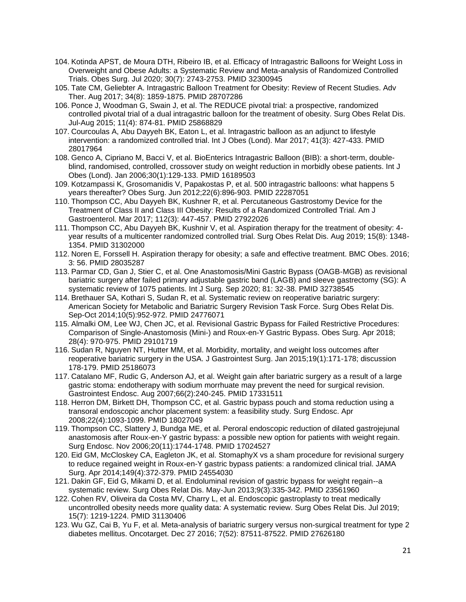- 104. Kotinda APST, de Moura DTH, Ribeiro IB, et al. Efficacy of Intragastric Balloons for Weight Loss in Overweight and Obese Adults: a Systematic Review and Meta-analysis of Randomized Controlled Trials. Obes Surg. Jul 2020; 30(7): 2743-2753. PMID 32300945
- 105. Tate CM, Geliebter A. Intragastric Balloon Treatment for Obesity: Review of Recent Studies. Adv Ther. Aug 2017; 34(8): 1859-1875. PMID 28707286
- 106. Ponce J, Woodman G, Swain J, et al. The REDUCE pivotal trial: a prospective, randomized controlled pivotal trial of a dual intragastric balloon for the treatment of obesity. Surg Obes Relat Dis. Jul-Aug 2015; 11(4): 874-81. PMID 25868829
- 107. Courcoulas A, Abu Dayyeh BK, Eaton L, et al. Intragastric balloon as an adjunct to lifestyle intervention: a randomized controlled trial. Int J Obes (Lond). Mar 2017; 41(3): 427-433. PMID 28017964
- 108. Genco A, Cipriano M, Bacci V, et al. BioEnterics Intragastric Balloon (BIB): a short-term, doubleblind, randomised, controlled, crossover study on weight reduction in morbidly obese patients. Int J Obes (Lond). Jan 2006;30(1):129-133. PMID 16189503
- 109. Kotzampassi K, Grosomanidis V, Papakostas P, et al. 500 intragastric balloons: what happens 5 years thereafter? Obes Surg. Jun 2012;22(6):896-903. PMID 22287051
- 110. Thompson CC, Abu Dayyeh BK, Kushner R, et al. Percutaneous Gastrostomy Device for the Treatment of Class II and Class III Obesity: Results of a Randomized Controlled Trial. Am J Gastroenterol. Mar 2017; 112(3): 447-457. PMID 27922026
- 111. Thompson CC, Abu Dayyeh BK, Kushnir V, et al. Aspiration therapy for the treatment of obesity: 4 year results of a multicenter randomized controlled trial. Surg Obes Relat Dis. Aug 2019; 15(8): 1348- 1354. PMID 31302000
- 112. Noren E, Forssell H. Aspiration therapy for obesity; a safe and effective treatment. BMC Obes. 2016; 3: 56. PMID 28035287
- 113. Parmar CD, Gan J, Stier C, et al. One Anastomosis/Mini Gastric Bypass (OAGB-MGB) as revisional bariatric surgery after failed primary adjustable gastric band (LAGB) and sleeve gastrectomy (SG): A systematic review of 1075 patients. Int J Surg. Sep 2020; 81: 32-38. PMID 32738545
- 114. Brethauer SA, Kothari S, Sudan R, et al. Systematic review on reoperative bariatric surgery: American Society for Metabolic and Bariatric Surgery Revision Task Force. Surg Obes Relat Dis. Sep-Oct 2014;10(5):952-972. PMID 24776071
- 115. Almalki OM, Lee WJ, Chen JC, et al. Revisional Gastric Bypass for Failed Restrictive Procedures: Comparison of Single-Anastomosis (Mini-) and Roux-en-Y Gastric Bypass. Obes Surg. Apr 2018; 28(4): 970-975. PMID 29101719
- 116. Sudan R, Nguyen NT, Hutter MM, et al. Morbidity, mortality, and weight loss outcomes after reoperative bariatric surgery in the USA. J Gastrointest Surg. Jan 2015;19(1):171-178; discussion 178-179. PMID 25186073
- 117. Catalano MF, Rudic G, Anderson AJ, et al. Weight gain after bariatric surgery as a result of a large gastric stoma: endotherapy with sodium morrhuate may prevent the need for surgical revision. Gastrointest Endosc. Aug 2007;66(2):240-245. PMID 17331511
- 118. Herron DM, Birkett DH, Thompson CC, et al. Gastric bypass pouch and stoma reduction using a transoral endoscopic anchor placement system: a feasibility study. Surg Endosc. Apr 2008;22(4):1093-1099. PMID 18027049
- 119. Thompson CC, Slattery J, Bundga ME, et al. Peroral endoscopic reduction of dilated gastrojejunal anastomosis after Roux-en-Y gastric bypass: a possible new option for patients with weight regain. Surg Endosc. Nov 2006;20(11):1744-1748. PMID 17024527
- 120. Eid GM, McCloskey CA, Eagleton JK, et al. StomaphyX vs a sham procedure for revisional surgery to reduce regained weight in Roux-en-Y gastric bypass patients: a randomized clinical trial. JAMA Surg. Apr 2014;149(4):372-379. PMID 24554030
- 121. Dakin GF, Eid G, Mikami D, et al. Endoluminal revision of gastric bypass for weight regain--a systematic review. Surg Obes Relat Dis. May-Jun 2013;9(3):335-342. PMID 23561960
- 122. Cohen RV, Oliveira da Costa MV, Charry L, et al. Endoscopic gastroplasty to treat medically uncontrolled obesity needs more quality data: A systematic review. Surg Obes Relat Dis. Jul 2019; 15(7): 1219-1224. PMID 31130406
- 123. Wu GZ, Cai B, Yu F, et al. Meta-analysis of bariatric surgery versus non-surgical treatment for type 2 diabetes mellitus. Oncotarget. Dec 27 2016; 7(52): 87511-87522. PMID 27626180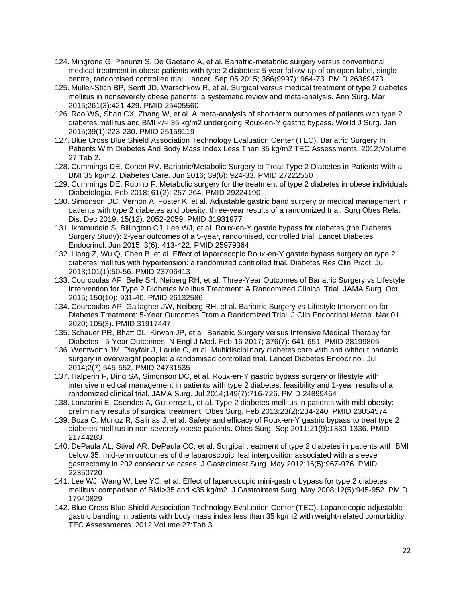- 124. Mingrone G, Panunzi S, De Gaetano A, et al. Bariatric-metabolic surgery versus conventional medical treatment in obese patients with type 2 diabetes: 5 year follow-up of an open-label, singlecentre, randomised controlled trial. Lancet. Sep 05 2015; 386(9997): 964-73. PMID 26369473
- 125. Muller-Stich BP, Senft JD, Warschkow R, et al. Surgical versus medical treatment of type 2 diabetes mellitus in nonseverely obese patients: a systematic review and meta-analysis. Ann Surg. Mar 2015;261(3):421-429. PMID 25405560
- 126. Rao WS, Shan CX, Zhang W, et al. A meta-analysis of short-term outcomes of patients with type 2 diabetes mellitus and BMI </= 35 kg/m2 undergoing Roux-en-Y gastric bypass. World J Surg. Jan 2015;39(1):223-230. PMID 25159119
- 127. Blue Cross Blue Shield Association Technology Evaluation Center (TEC). Bariatric Surgery In Patients With Diabetes And Body Mass Index Less Than 35 kg/m2 TEC Assessments. 2012;Volume 27:Tab 2.
- 128. Cummings DE, Cohen RV. Bariatric/Metabolic Surgery to Treat Type 2 Diabetes in Patients With a BMI 35 kg/m2. Diabetes Care. Jun 2016; 39(6): 924-33. PMID 27222550
- 129. Cummings DE, Rubino F. Metabolic surgery for the treatment of type 2 diabetes in obese individuals. Diabetologia. Feb 2018; 61(2): 257-264. PMID 29224190
- 130. Simonson DC, Vernon A, Foster K, et al. Adjustable gastric band surgery or medical management in patients with type 2 diabetes and obesity: three-year results of a randomized trial. Surg Obes Relat Dis. Dec 2019; 15(12): 2052-2059. PMID 31931977
- 131. Ikramuddin S, Billington CJ, Lee WJ, et al. Roux-en-Y gastric bypass for diabetes (the Diabetes Surgery Study): 2-year outcomes of a 5-year, randomised, controlled trial. Lancet Diabetes Endocrinol. Jun 2015; 3(6): 413-422. PMID 25979364
- 132. Liang Z, Wu Q, Chen B, et al. Effect of laparoscopic Roux-en-Y gastric bypass surgery on type 2 diabetes mellitus with hypertension: a randomized controlled trial. Diabetes Res Clin Pract. Jul 2013;101(1):50-56. PMID 23706413
- 133. Courcoulas AP, Belle SH, Neiberg RH, et al. Three-Year Outcomes of Bariatric Surgery vs Lifestyle Intervention for Type 2 Diabetes Mellitus Treatment: A Randomized Clinical Trial. JAMA Surg. Oct 2015; 150(10): 931-40. PMID 26132586
- 134. Courcoulas AP, Gallagher JW, Neiberg RH, et al. Bariatric Surgery vs Lifestyle Intervention for Diabetes Treatment: 5-Year Outcomes From a Randomized Trial. J Clin Endocrinol Metab. Mar 01 2020; 105(3). PMID 31917447
- 135. Schauer PR, Bhatt DL, Kirwan JP, et al. Bariatric Surgery versus Intensive Medical Therapy for Diabetes - 5-Year Outcomes. N Engl J Med. Feb 16 2017; 376(7): 641-651. PMID 28199805
- 136. Wentworth JM, Playfair J, Laurie C, et al. Multidisciplinary diabetes care with and without bariatric surgery in overweight people: a randomised controlled trial. Lancet Diabetes Endocrinol. Jul 2014;2(7):545-552. PMID 24731535
- 137. Halperin F, Ding SA, Simonson DC, et al. Roux-en-Y gastric bypass surgery or lifestyle with intensive medical management in patients with type 2 diabetes: feasibility and 1-year results of a randomized clinical trial. JAMA Surg. Jul 2014;149(7):716-726. PMID 24899464
- 138. Lanzarini E, Csendes A, Gutierrez L, et al. Type 2 diabetes mellitus in patients with mild obesity: preliminary results of surgical treatment. Obes Surg. Feb 2013;23(2):234-240. PMID 23054574
- 139. Boza C, Munoz R, Salinas J, et al. Safety and efficacy of Roux-en-Y gastric bypass to treat type 2 diabetes mellitus in non-severely obese patients. Obes Surg. Sep 2011;21(9):1330-1336. PMID 21744283
- 140. DePaula AL, Stival AR, DePaula CC, et al. Surgical treatment of type 2 diabetes in patients with BMI below 35: mid-term outcomes of the laparoscopic ileal interposition associated with a sleeve gastrectomy in 202 consecutive cases. J Gastrointest Surg. May 2012;16(5):967-976. PMID 22350720
- 141. Lee WJ, Wang W, Lee YC, et al. Effect of laparoscopic mini-gastric bypass for type 2 diabetes mellitus: comparison of BMI>35 and <35 kg/m2. J Gastrointest Surg. May 2008;12(5):945-952. PMID 17940829
- 142. Blue Cross Blue Shield Association Technology Evaluation Center (TEC). Laparoscopic adjustable gastric banding in patients with body mass index less than 35 kg/m2 with weight-related comorbidity. TEC Assessments. 2012;Volume 27:Tab 3.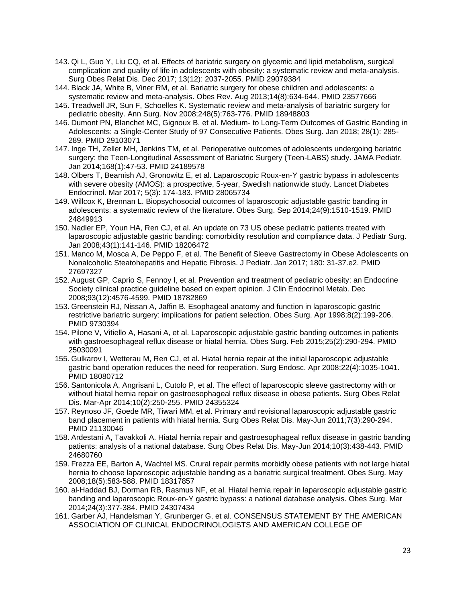- 143. Qi L, Guo Y, Liu CQ, et al. Effects of bariatric surgery on glycemic and lipid metabolism, surgical complication and quality of life in adolescents with obesity: a systematic review and meta-analysis. Surg Obes Relat Dis. Dec 2017; 13(12): 2037-2055. PMID 29079384
- 144. Black JA, White B, Viner RM, et al. Bariatric surgery for obese children and adolescents: a systematic review and meta-analysis. Obes Rev. Aug 2013;14(8):634-644. PMID 23577666
- 145. Treadwell JR, Sun F, Schoelles K. Systematic review and meta-analysis of bariatric surgery for pediatric obesity. Ann Surg. Nov 2008;248(5):763-776. PMID 18948803
- 146. Dumont PN, Blanchet MC, Gignoux B, et al. Medium- to Long-Term Outcomes of Gastric Banding in Adolescents: a Single-Center Study of 97 Consecutive Patients. Obes Surg. Jan 2018; 28(1): 285- 289. PMID 29103071
- 147. Inge TH, Zeller MH, Jenkins TM, et al. Perioperative outcomes of adolescents undergoing bariatric surgery: the Teen-Longitudinal Assessment of Bariatric Surgery (Teen-LABS) study. JAMA Pediatr. Jan 2014;168(1):47-53. PMID 24189578
- 148. Olbers T, Beamish AJ, Gronowitz E, et al. Laparoscopic Roux-en-Y gastric bypass in adolescents with severe obesity (AMOS): a prospective, 5-year, Swedish nationwide study. Lancet Diabetes Endocrinol. Mar 2017; 5(3): 174-183. PMID 28065734
- 149. Willcox K, Brennan L. Biopsychosocial outcomes of laparoscopic adjustable gastric banding in adolescents: a systematic review of the literature. Obes Surg. Sep 2014;24(9):1510-1519. PMID 24849913
- 150. Nadler EP, Youn HA, Ren CJ, et al. An update on 73 US obese pediatric patients treated with laparoscopic adjustable gastric banding: comorbidity resolution and compliance data. J Pediatr Surg. Jan 2008;43(1):141-146. PMID 18206472
- 151. Manco M, Mosca A, De Peppo F, et al. The Benefit of Sleeve Gastrectomy in Obese Adolescents on Nonalcoholic Steatohepatitis and Hepatic Fibrosis. J Pediatr. Jan 2017; 180: 31-37.e2. PMID 27697327
- 152. August GP, Caprio S, Fennoy I, et al. Prevention and treatment of pediatric obesity: an Endocrine Society clinical practice guideline based on expert opinion. J Clin Endocrinol Metab. Dec 2008;93(12):4576-4599. PMID 18782869
- 153. Greenstein RJ, Nissan A, Jaffin B. Esophageal anatomy and function in laparoscopic gastric restrictive bariatric surgery: implications for patient selection. Obes Surg. Apr 1998;8(2):199-206. PMID 9730394
- 154. Pilone V, Vitiello A, Hasani A, et al. Laparoscopic adjustable gastric banding outcomes in patients with gastroesophageal reflux disease or hiatal hernia. Obes Surg. Feb 2015;25(2):290-294. PMID 25030091
- 155. Gulkarov I, Wetterau M, Ren CJ, et al. Hiatal hernia repair at the initial laparoscopic adjustable gastric band operation reduces the need for reoperation. Surg Endosc. Apr 2008;22(4):1035-1041. PMID 18080712
- 156. Santonicola A, Angrisani L, Cutolo P, et al. The effect of laparoscopic sleeve gastrectomy with or without hiatal hernia repair on gastroesophageal reflux disease in obese patients. Surg Obes Relat Dis. Mar-Apr 2014;10(2):250-255. PMID 24355324
- 157. Reynoso JF, Goede MR, Tiwari MM, et al. Primary and revisional laparoscopic adjustable gastric band placement in patients with hiatal hernia. Surg Obes Relat Dis. May-Jun 2011;7(3):290-294. PMID 21130046
- 158. Ardestani A, Tavakkoli A. Hiatal hernia repair and gastroesophageal reflux disease in gastric banding patients: analysis of a national database. Surg Obes Relat Dis. May-Jun 2014;10(3):438-443. PMID 24680760
- 159. Frezza EE, Barton A, Wachtel MS. Crural repair permits morbidly obese patients with not large hiatal hernia to choose laparoscopic adjustable banding as a bariatric surgical treatment. Obes Surg. May 2008;18(5):583-588. PMID 18317857
- 160. al-Haddad BJ, Dorman RB, Rasmus NF, et al. Hiatal hernia repair in laparoscopic adjustable gastric banding and laparoscopic Roux-en-Y gastric bypass: a national database analysis. Obes Surg. Mar 2014;24(3):377-384. PMID 24307434
- 161. Garber AJ, Handelsman Y, Grunberger G, et al. CONSENSUS STATEMENT BY THE AMERICAN ASSOCIATION OF CLINICAL ENDOCRINOLOGISTS AND AMERICAN COLLEGE OF